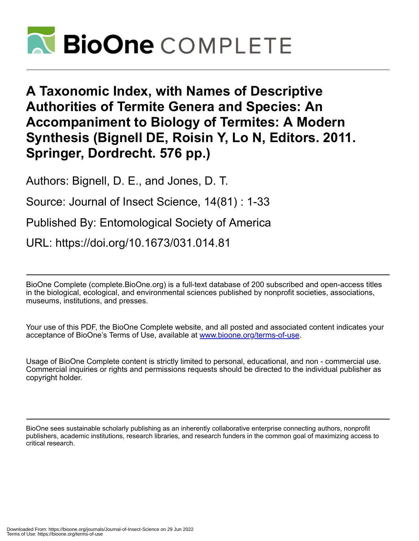

**A Taxonomic Index, with Names of Descriptive Authorities of Termite Genera and Species: An Accompaniment to Biology of Termites: A Modern Synthesis (Bignell DE, Roisin Y, Lo N, Editors. 2011. Springer, Dordrecht. 576 pp.)**

Authors: Bignell, D. E., and Jones, D. T.

Source: Journal of Insect Science, 14(81) : 1-33

Published By: Entomological Society of America

URL: https://doi.org/10.1673/031.014.81

BioOne Complete (complete.BioOne.org) is a full-text database of 200 subscribed and open-access titles in the biological, ecological, and environmental sciences published by nonprofit societies, associations, museums, institutions, and presses.

Your use of this PDF, the BioOne Complete website, and all posted and associated content indicates your acceptance of BioOne's Terms of Use, available at www.bioone.org/terms-of-use.

Usage of BioOne Complete content is strictly limited to personal, educational, and non - commercial use. Commercial inquiries or rights and permissions requests should be directed to the individual publisher as copyright holder.

BioOne sees sustainable scholarly publishing as an inherently collaborative enterprise connecting authors, nonprofit publishers, academic institutions, research libraries, and research funders in the common goal of maximizing access to critical research.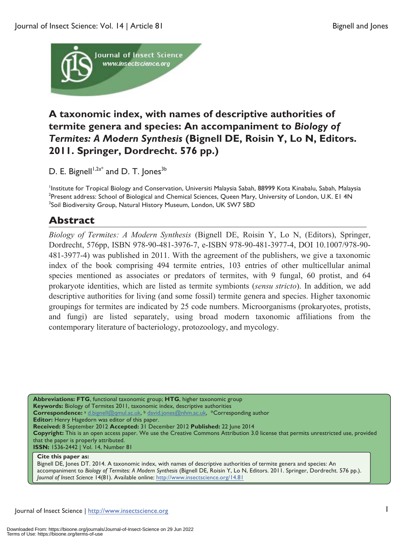

# **A taxonomic index, with names of descriptive authorities of termite genera and species: An accompaniment to** *Biology of Termites: A Modern Synthesis* **(Bignell DE, Roisin Y, Lo N, Editors. 2011. Springer, Dordrecht. 576 pp.)**

D. E. Bignell<sup> $1,2a^*$ </sup> and D. T. Jones<sup>3b</sup>

<sup>1</sup>Institute for Tropical Biology and Conservation, Universiti Malaysia Sabah, 88999 Kota Kinabalu, Sabah, Malaysia<br><sup>2</sup>Present address: Sabael of Biological and Chamical Sciences, Queen Many University of London, U.K. EL 4 <sup>2</sup>Present address: School of Biological and Chemical Sciences, Queen Mary, University of London, U.K. E1 4N <sup>3</sup>Soil Biodiversity Group, Natural History Museum, London, UK SW7 5BD

# **Abstract**

*Biology of Termites: A Modern Synthesis* (Bignell DE, Roisin Y, Lo N, (Editors), Springer, Dordrecht, 576pp, ISBN 978-90-481-3976-7, e-ISBN 978-90-481-3977-4, DOI 10.1007/978-90- 481-3977-4) was published in 2011. With the agreement of the publishers, we give a taxonomic index of the book comprising 494 termite entries, 103 entries of other multicellular animal species mentioned as associates or predators of termites, with 9 fungal, 60 protist, and 64 prokaryote identities, which are listed as termite symbionts (*sensu stricto*). In addition, we add descriptive authorities for living (and some fossil) termite genera and species. Higher taxonomic groupings for termites are indicated by 25 code numbers. Microorganisms (prokaryotes, protists, and fungi) are listed separately, using broad modern taxonomic affiliations from the contemporary literature of bacteriology, protozoology, and mycology.

**Abbreviations: FTG**, functional taxonomic group; **HTG**, higher taxonomic group **Keywords:** Biology of Termites 2011, taxonomic index, descriptive authorities Correspondence: a d.bignell@qmul.ac.uk, b david.jones@nhm.ac.uk, \*Corresponding author **Editor:** Henry Hagedorn was editor of this paper. **Received:** 8 September 2012 **Accepted:** 31 December 2012 **Published:** 22 June 2014 **Copyright:** This is an open access paper. We use the Creative Commons Attribution 3.0 license that permits unrestricted use, provided that the paper is properly attributed. **ISSN:** 1536-2442 | Vol. 14, Number 81

#### **Cite this paper as:**

Bignell DE, Jones DT. 2014. A taxonomic index, with names of descriptive authorities of termite genera and species: An accompaniment to *Biology of Termites: A Modern Synthesis* (Bignell DE, Roisin Y, Lo N, Editors. 2011. Springer, Dordrecht. 576 pp.). *Journal of Insect Science* 14(81). Available online: http://www.insectscience.org/14.81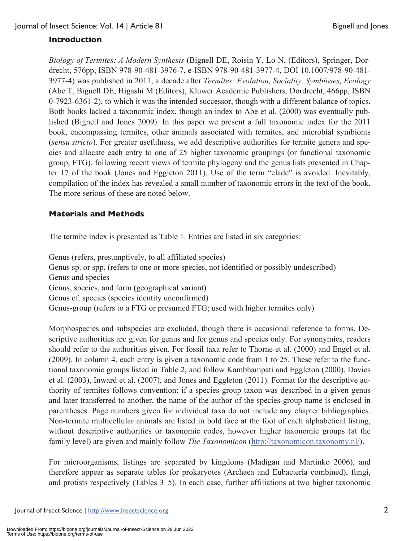# **Introduction**

*Biology of Termites: A Modern Synthesis* (Bignell DE, Roisin Y, Lo N, (Editors), Springer, Dordrecht, 576pp, ISBN 978-90-481-3976-7, e-ISBN 978-90-481-3977-4, DOI 10.1007/978-90-481- 3977-4) was published in 2011, a decade after *Termites: Evolution, Sociality, Symbioses, Ecology* (Abe T, Bignell DE, Higashi M (Editors), Kluwer Academic Publishers, Dordrecht, 466pp, ISBN 0-7923-6361-2), to which it was the intended successor, though with a different balance of topics. Both books lacked a taxonomic index, though an index to Abe et al. (2000) was eventually published (Bignell and Jones 2009). In this paper we present a full taxonomic index for the 2011 book, encompassing termites, other animals associated with termites, and microbial symbionts (*sensu stricto*). For greater usefulness, we add descriptive authorities for termite genera and species and allocate each entry to one of 25 higher taxonomic groupings (or functional taxonomic group, FTG), following recent views of termite phylogeny and the genus lists presented in Chapter 17 of the book (Jones and Eggleton 2011). Use of the term "clade" is avoided. Inevitably, compilation of the index has revealed a small number of taxonomic errors in the text of the book. The more serious of these are noted below.

# **Materials and Methods**

The termite index is presented as Table 1. Entries are listed in six categories:

Genus (refers, presumptively, to all affiliated species) Genus sp. or spp. (refers to one or more species, not identified or possibly undescribed) Genus and species Genus, species, and form (geographical variant) Genus cf. species (species identity unconfirmed) Genus-group (refers to a FTG or presumed FTG; used with higher termites only)

Morphospecies and subspecies are excluded, though there is occasional reference to forms. Descriptive authorities are given for genus and for genus and species only. For synonymies, readers should refer to the authorities given. For fossil taxa refer to Thorne et al. (2000) and Engel et al. (2009). In column 4, each entry is given a taxonomic code from 1 to 25. These refer to the functional taxonomic groups listed in Table 2, and follow Kambhampati and Eggleton (2000), Davies et al. (2003), Inward et al. (2007), and Jones and Eggleton (2011). Format for the descriptive authority of termites follows convention: if a species-group taxon was described in a given genus and later transferred to another, the name of the author of the species-group name is enclosed in parentheses. Page numbers given for individual taxa do not include any chapter bibliographies. Non-termite multicellular animals are listed in bold face at the foot of each alphabetical listing, without descriptive authorities or taxonomic codes, however higher taxonomic groups (at the family level) are given and mainly follow *The Taxonomicon* (http://taxonomicon.taxonomy.nl/).

For microorganisms, listings are separated by kingdoms (Madigan and Martinko 2006), and therefore appear as separate tables for prokaryotes (Archaea and Eubacteria combined), fungi, and protists respectively (Tables 3–5). In each case, further affiliations at two higher taxonomic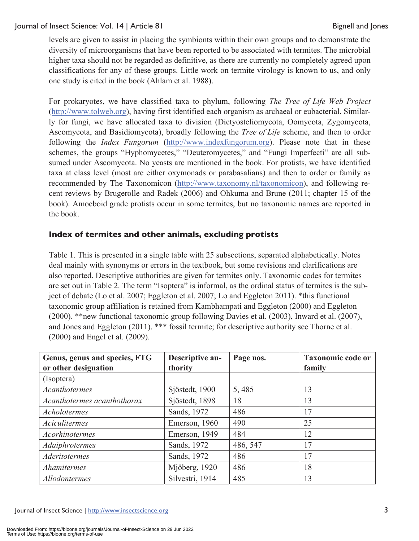levels are given to assist in placing the symbionts within their own groups and to demonstrate the diversity of microorganisms that have been reported to be associated with termites. The microbial higher taxa should not be regarded as definitive, as there are currently no completely agreed upon classifications for any of these groups. Little work on termite virology is known to us, and only one study is cited in the book (Ahlam et al. 1988).

For prokaryotes, we have classified taxa to phylum, following *The Tree of Life Web Project* (http://www.tolweb.org), having first identified each organism as archaeal or eubacterial. Similarly for fungi, we have allocated taxa to division (Dictyosteliomycota, Oomycota, Zygomycota, Ascomycota, and Basidiomycota), broadly following the *Tree of Life* scheme, and then to order following the *Index Fungorum* (http://www.indexfungorum.org). Please note that in these schemes, the groups "Hyphomycetes," "Deuteromycetes," and "Fungi Imperfecti" are all subsumed under Ascomycota. No yeasts are mentioned in the book. For protists, we have identified taxa at class level (most are either oxymonads or parabasalians) and then to order or family as recommended by The Taxonomicon (http://www.taxonomy.nl/taxonomicon), and following recent reviews by Brugerolle and Radek (2006) and Ohkuma and Brune (2011; chapter 15 of the book). Amoeboid grade protists occur in some termites, but no taxonomic names are reported in the book.

## **Index of termites and other animals, excluding protists**

Table 1. This is presented in a single table with 25 subsections, separated alphabetically. Notes deal mainly with synonyms or errors in the textbook, but some revisions and clarifications are also reported. Descriptive authorities are given for termites only. Taxonomic codes for termites are set out in Table 2. The term "Isoptera" is informal, as the ordinal status of termites is the subject of debate (Lo et al. 2007; Eggleton et al. 2007; Lo and Eggleton 2011). \*this functional taxonomic group affiliation is retained from Kambhampati and Eggleton (2000) and Eggleton (2000). \*\*new functional taxonomic group following Davies et al. (2003), Inward et al. (2007), and Jones and Eggleton (2011). \*\*\* fossil termite; for descriptive authority see Thorne et al. (2000) and Engel et al. (2009).

| Genus, genus and species, FTG<br>or other designation | Descriptive au-<br>thority | Page nos. | <b>Taxonomic code or</b><br>family |
|-------------------------------------------------------|----------------------------|-----------|------------------------------------|
| (Isoptera)                                            |                            |           |                                    |
| <b>Acanthotermes</b>                                  | Sjöstedt, 1900             | 5,485     | 13                                 |
| Acanthotermes acanthothorax                           | Sjöstedt, 1898             | 18        | 13                                 |
| Acholotermes                                          | Sands, 1972                | 486       | 17                                 |
| <b>Aciculitermes</b>                                  | Emerson, 1960              | 490       | 25                                 |
| <b>Acorhinotermes</b>                                 | Emerson, 1949              | 484       | 12                                 |
| Adaiphrotermes                                        | Sands, 1972                | 486, 547  | 17                                 |
| <b>Aderitotermes</b>                                  | Sands, 1972                | 486       | 17                                 |
| Ahamitermes                                           | Mjöberg, 1920              | 486       | 18                                 |
| Allodontermes                                         | Silvestri, 1914            | 485       | 13                                 |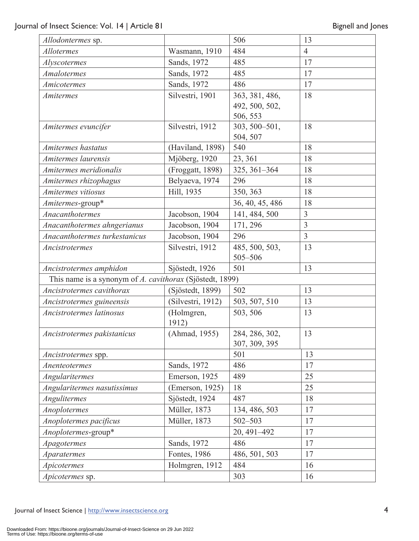| Allodontermes sp.                                        |                     | 506                                          | 13             |
|----------------------------------------------------------|---------------------|----------------------------------------------|----------------|
| <b>Allotermes</b>                                        | Wasmann, 1910       | 484                                          | $\overline{4}$ |
| Alyscotermes                                             | Sands, 1972         | 485                                          | 17             |
| <b>Amalotermes</b>                                       | Sands, 1972         | 485                                          | 17             |
| Amicotermes                                              | Sands, 1972         | 486                                          | 17             |
| <b>Amitermes</b>                                         | Silvestri, 1901     | 363, 381, 486,<br>492, 500, 502,<br>506, 553 | 18             |
| Amitermes evuncifer                                      | Silvestri, 1912     | 303, 500-501,<br>504, 507                    | 18             |
| Amitermes hastatus                                       | (Haviland, 1898)    | 540                                          | 18             |
| Amitermes laurensis                                      | Mjöberg, 1920       | 23, 361                                      | 18             |
| Amitermes meridionalis                                   | (Froggatt, 1898)    | 325, 361-364                                 | 18             |
| Amitermes rhizophagus                                    | Belyaeva, 1974      | 296                                          | 18             |
| Amitermes vitiosus                                       | Hill, 1935          | 350, 363                                     | 18             |
| Amitermes-group*                                         |                     | 36, 40, 45, 486                              | 18             |
| Anacanthotermes                                          | Jacobson, 1904      | 141, 484, 500                                | 3              |
| Anacanthotermes ahngerianus                              | Jacobson, 1904      | 171, 296                                     | $\overline{3}$ |
| Anacanthotermes turkestanicus                            | Jacobson, 1904      | 296                                          | $\overline{3}$ |
| Ancistrotermes                                           | Silvestri, 1912     | 485, 500, 503,<br>505-506                    | 13             |
| Ancistrotermes amphidon                                  | Sjöstedt, 1926      | 501                                          | 13             |
| This name is a synonym of A. cavithorax (Sjöstedt, 1899) |                     |                                              |                |
| Ancistrotermes cavithorax                                | (Sjöstedt, 1899)    | 502                                          | 13             |
| Ancistrotermes guineensis                                | (Silvestri, 1912)   | 503, 507, 510                                | 13             |
| Ancistrotermes latinosus                                 | (Holmgren,<br>1912) | 503, 506                                     | 13             |
| Ancistrotermes pakistanicus                              | (Ahmad, 1955)       | 284, 286, 302,<br>307, 309, 395              | 13             |
| Ancistrotermes spp.                                      |                     | 501                                          | 13             |
| Anenteotermes                                            | Sands, 1972         | 486                                          | 17             |
| Angularitermes                                           | Emerson, 1925       | 489                                          | 25             |
| Angularitermes nasutissimus                              | (Emerson, 1925)     | 18                                           | 25             |
| Angulitermes                                             | Sjöstedt, 1924      | 487                                          | 18             |
| Anoplotermes                                             | Müller, 1873        | 134, 486, 503                                | 17             |
| Anoplotermes pacificus                                   | Müller, 1873        | $502 - 503$                                  | 17             |
| Anoplotermes-group*                                      |                     | 20, 491-492                                  | 17             |
| <i>Apagotermes</i>                                       | Sands, 1972         | 486                                          | 17             |
| <i>Aparatermes</i>                                       | Fontes, 1986        | 486, 501, 503                                | 17             |
| Apicotermes                                              | Holmgren, 1912      | 484                                          | 16             |
| <i>Apicotermes</i> sp.                                   |                     | 303                                          | 16             |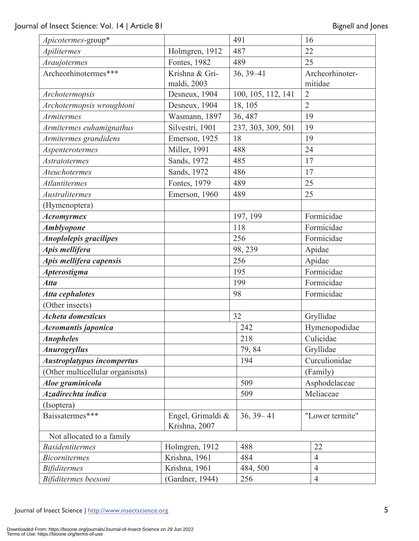| Apicotermes-group*                |                                    | 491                | 16             |                 |
|-----------------------------------|------------------------------------|--------------------|----------------|-----------------|
| Apilitermes                       | Holmgren, 1912                     | 487                | 22             |                 |
| Araujotermes                      | Fontes, 1982                       | 489                | 25             |                 |
| Archeorhinotermes***              | Krishna & Gri-                     | $36, 39 - 41$      |                | Archeorhinoter- |
|                                   | maldi, 2003                        |                    |                | mitidae         |
| Archotermopsis                    | Desneux, 1904                      | 100, 105, 112, 141 | $\overline{2}$ |                 |
| Archotermopsis wroughtoni         | Desneux, 1904                      | 18, 105            | $\overline{2}$ |                 |
| Armitermes                        | Wasmann, 1897                      | 36, 487            | 19             |                 |
| Armitermes euhamignathus          | Silvestri, 1901                    | 237, 303, 309, 501 | 19             |                 |
| Armitermes grandidens             | Emerson, 1925                      | 18                 | 19             |                 |
| Aspenterotermes                   | Miller, 1991                       | 488                | 24             |                 |
| <b>Astratotermes</b>              | Sands, 1972                        | 485                | 17             |                 |
| Ateuchotermes                     | Sands, 1972                        | 486                | 17             |                 |
| <b>Atlantitermes</b>              | Fontes, 1979                       | 489                | 25             |                 |
| <b>Australitermes</b>             | Emerson, 1960                      | 489                | 25             |                 |
| (Hymenoptera)                     |                                    |                    |                |                 |
| <b>Acromyrmex</b>                 |                                    | 197, 199           |                | Formicidae      |
| <b>Amblyopone</b>                 |                                    | 118                |                | Formicidae      |
| <b>Anoplolepis gracilipes</b>     |                                    | 256                |                | Formicidae      |
| Apis mellifera                    |                                    | 98, 239            |                | Apidae          |
| Apis mellifera capensis           |                                    | 256                |                | Apidae          |
| <b>Apterostigma</b>               |                                    | 195                |                | Formicidae      |
| <b>Atta</b>                       |                                    | 199                |                | Formicidae      |
| <b>Atta cephalotes</b>            |                                    | 98                 |                | Formicidae      |
| (Other insects)                   |                                    |                    |                |                 |
| <b>Acheta domesticus</b>          |                                    | 32                 |                | Gryllidae       |
| Acromantis japonica               |                                    | 242                |                | Hymenopodidae   |
| <b>Anopheles</b>                  |                                    | 218                |                | Culicidae       |
| <b>Anurogryllus</b>               |                                    | 79,84              |                | Gryllidae       |
| <b>Austroplatypus incompertus</b> |                                    | 194                |                | Curculionidae   |
| (Other multicellular organisms)   |                                    |                    |                | (Family)        |
| Aloe graminicola                  |                                    | 509                |                | Asphodelaceae   |
| Azadirechta indica                |                                    | 509                |                | Meliaceae       |
| (Isoptera)                        |                                    |                    |                |                 |
| Baissatermes***                   | Engel, Grimaldi &<br>Krishna, 2007 | $36, 39 - 41$      |                | "Lower termite" |
| Not allocated to a family         |                                    |                    |                |                 |
| <b>Basidentitermes</b>            | Holmgren, 1912                     | 488                |                | 22              |
| <b>Bicornitermes</b>              | Krishna, 1961                      | 484                |                | $\overline{4}$  |
| <b>Bifiditermes</b>               | Krishna, 1961                      | 484, 500           |                | $\overline{4}$  |
| Bifiditermes beesoni              | (Gardner, 1944)                    | 256                |                | $\overline{4}$  |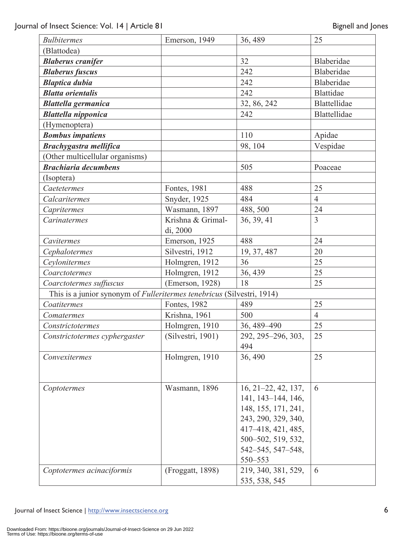| <b>Bulbitermes</b>                                                            | Emerson, 1949     | 36, 489               | 25               |
|-------------------------------------------------------------------------------|-------------------|-----------------------|------------------|
| (Blattodea)                                                                   |                   |                       |                  |
| <b>Blaberus cranifer</b>                                                      |                   | 32                    | Blaberidae       |
| <b>Blaberus fuscus</b>                                                        |                   | 242                   | Blaberidae       |
| <b>Blaptica dubia</b>                                                         |                   | 242                   | Blaberidae       |
| <b>Blatta orientalis</b>                                                      |                   | 242                   | <b>Blattidae</b> |
| <b>Blattella germanica</b>                                                    |                   | 32, 86, 242           | Blattellidae     |
| <b>Blattella nipponica</b>                                                    |                   | 242                   | Blattellidae     |
| (Hymenoptera)                                                                 |                   |                       |                  |
| <b>Bombus impatiens</b>                                                       |                   | 110                   | Apidae           |
| <b>Brachygastra mellifica</b>                                                 |                   | 98, 104               | Vespidae         |
| (Other multicellular organisms)                                               |                   |                       |                  |
| <b>Brachiaria decumbens</b>                                                   |                   | 505                   | Poaceae          |
| (Isoptera)                                                                    |                   |                       |                  |
| Caetetermes                                                                   | Fontes, 1981      | 488                   | 25               |
| Calcaritermes                                                                 | Snyder, 1925      | 484                   | $\overline{4}$   |
| Capritermes                                                                   | Wasmann, 1897     | 488, 500              | 24               |
| Carinatermes                                                                  | Krishna & Grimal- | 36, 39, 41            | $\overline{3}$   |
|                                                                               | di, 2000          |                       |                  |
| Cavitermes                                                                    | Emerson, 1925     | 488                   | 24               |
| Cephalotermes                                                                 | Silvestri, 1912   | 19, 37, 487           | 20               |
| Ceylonitermes                                                                 | Holmgren, 1912    | 36                    | 25               |
| Coarctotermes                                                                 | Holmgren, 1912    | 36, 439               | 25               |
| Coarctotermes suffuscus                                                       | (Emerson, 1928)   | 18                    | 25               |
| This is a junior synonym of <i>Fulleritermes tenebricus</i> (Silvestri, 1914) |                   |                       |                  |
| Coatitermes                                                                   | Fontes, 1982      | 489                   | 25               |
| Comatermes                                                                    | Krishna, 1961     | 500                   | $\overline{4}$   |
| Constrictotermes                                                              | Holmgren, 1910    | 36, 489-490           | 25               |
| Constrictotermes cyphergaster                                                 | (Silvestri, 1901) | 292, 295-296, 303,    | 25               |
|                                                                               |                   | 494                   |                  |
| Convexitermes                                                                 | Holmgren, 1910    | 36, 490               | 25               |
|                                                                               |                   |                       |                  |
|                                                                               |                   |                       |                  |
| Coptotermes                                                                   | Wasmann, 1896     | $16, 21-22, 42, 137,$ | 6                |
|                                                                               |                   | 141, 143–144, 146,    |                  |
|                                                                               |                   | 148, 155, 171, 241,   |                  |
|                                                                               |                   | 243, 290, 329, 340,   |                  |
|                                                                               |                   | 417-418, 421, 485,    |                  |
|                                                                               |                   | 500-502, 519, 532,    |                  |
|                                                                               |                   | 542-545, 547-548,     |                  |
|                                                                               |                   | 550-553               |                  |
| Coptotermes acinaciformis                                                     | (Froggatt, 1898)  | 219, 340, 381, 529,   | 6                |
|                                                                               |                   | 535, 538, 545         |                  |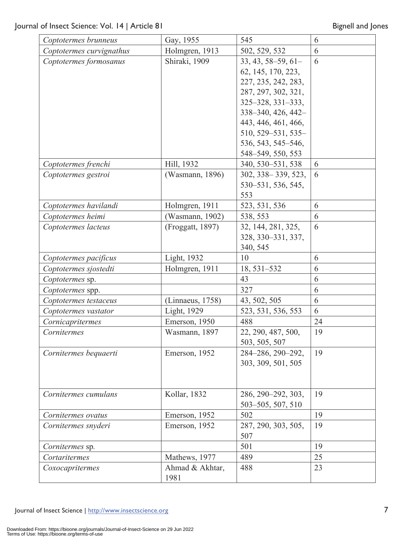| Coptotermes brunneus     | Gay, 1955        | 545                     | 6  |
|--------------------------|------------------|-------------------------|----|
| Coptotermes curvignathus | Holmgren, 1913   | 502, 529, 532           | 6  |
| Coptotermes formosanus   | Shiraki, 1909    | $33, 43, 58 - 59, 61 -$ | 6  |
|                          |                  | 62, 145, 170, 223,      |    |
|                          |                  | 227, 235, 242, 283,     |    |
|                          |                  | 287, 297, 302, 321,     |    |
|                          |                  | $325 - 328, 331 - 333,$ |    |
|                          |                  | 338-340, 426, 442-      |    |
|                          |                  | 443, 446, 461, 466,     |    |
|                          |                  | 510, 529–531, 535–      |    |
|                          |                  | 536, 543, 545-546,      |    |
|                          |                  | 548-549, 550, 553       |    |
| Coptotermes frenchi      | Hill, 1932       | 340, 530-531, 538       | 6  |
| Coptotermes gestroi      | (Wasmann, 1896)  | $302, 338 - 339, 523,$  | 6  |
|                          |                  | 530–531, 536, 545,      |    |
|                          |                  | 553                     |    |
| Coptotermes havilandi    | Holmgren, 1911   | 523, 531, 536           | 6  |
| Coptotermes heimi        | Wasmann, 1902)   | 538, 553                | 6  |
| Coptotermes lacteus      | (Froggatt, 1897) | 32, 144, 281, 325,      | 6  |
|                          |                  | 328, 330–331, 337,      |    |
|                          |                  | 340, 545                |    |
| Coptotermes pacificus    | Light, 1932      | 10                      | 6  |
| Coptotermes sjostedti    | Holmgren, 1911   | 18, 531-532             | 6  |
| Coptotermes sp.          |                  | 43                      | 6  |
| Coptotermes spp.         |                  | 327                     | 6  |
| Coptotermes testaceus    | (Linnaeus, 1758) | 43, 502, 505            | 6  |
| Coptotermes vastator     | Light, 1929      | 523, 531, 536, 553      | 6  |
| Cornicapritermes         | Emerson, 1950    | 488                     | 24 |
| Cornitermes              | Wasmann, 1897    | 22, 290, 487, 500,      | 19 |
|                          |                  | 503, 505, 507           |    |
| Cornitermes bequaerti    | Emerson, 1952    | 284-286, 290-292,       | 19 |
|                          |                  | 303, 309, 501, 505      |    |
|                          |                  |                         |    |
|                          |                  |                         |    |
| Cornitermes cumulans     | Kollar, 1832     | 286, 290-292, 303,      | 19 |
|                          |                  | 503-505, 507, 510       |    |
| Cornitermes ovatus       | Emerson, 1952    | 502                     | 19 |
| Cornitermes snyderi      | Emerson, 1952    | 287, 290, 303, 505,     | 19 |
|                          |                  | 507                     |    |
| <i>Cornitermes</i> sp.   |                  | 501                     | 19 |
| Cortaritermes            | Mathews, 1977    | 489                     | 25 |
| Coxocapritermes          | Ahmad & Akhtar,  | 488                     | 23 |
|                          | 1981             |                         |    |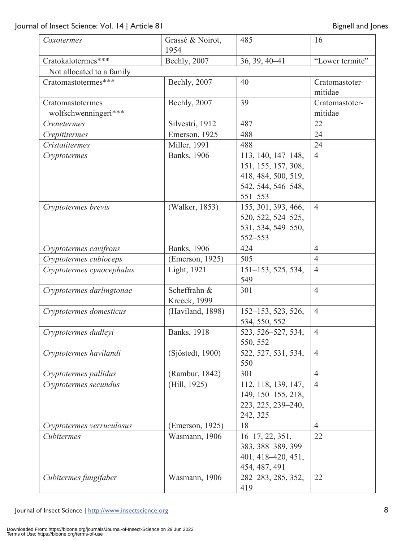| Coxotermes                | Grassé & Noirot,<br>1954 | 485                 | 16              |
|---------------------------|--------------------------|---------------------|-----------------|
| Cratokalotermes***        | Bechly, 2007             | 36, 39, 40-41       | "Lower termite" |
| Not allocated to a family |                          |                     |                 |
| Cratomastotermes***       | Bechly, 2007             | 40                  | Cratomastoter-  |
|                           |                          |                     | mitidae         |
| Cratomastotermes          | Bechly, 2007             | 39                  | Cratomastoter-  |
| wolfschwenningeri***      |                          |                     | mitidae         |
| Crenetermes               | Silvestri, 1912          | 487                 | 22              |
| Crepititermes             | Emerson, 1925            | 488                 | 24              |
| <b>Cristatitermes</b>     | Miller, 1991             | 488                 | 24              |
| Cryptotermes              | <b>Banks</b> , 1906      | 113, 140, 147-148,  | $\overline{4}$  |
|                           |                          | 151, 155, 157, 308, |                 |
|                           |                          | 418, 484, 500, 519, |                 |
|                           |                          | 542, 544, 546-548,  |                 |
|                           |                          | $551 - 553$         |                 |
| Cryptotermes brevis       | (Walker, 1853)           | 155, 301, 393, 466, | $\overline{4}$  |
|                           |                          | 520, 522, 524-525,  |                 |
|                           |                          | 531, 534, 549-550,  |                 |
|                           |                          | 552-553             |                 |
| Cryptotermes cavifrons    | Banks, 1906              | 424                 | $\overline{4}$  |
| Cryptotermes cubioceps    | (Emerson, 1925)          | 505                 | $\overline{4}$  |
| Cryptotermes cynocephalus | Light, 1921              | 151-153, 525, 534,  | $\overline{4}$  |
|                           |                          | 549                 |                 |
| Cryptotermes darlingtonae | Scheffrahn &             | 301                 | $\overline{4}$  |
|                           | <b>Krecek</b> , 1999     |                     |                 |
| Cryptotermes domesticus   | (Haviland, 1898)         | 152-153, 523, 526,  | $\overline{4}$  |
|                           |                          | 534, 550, 552       |                 |
| Cryptotermes dudleyi      | Banks, 1918              | 523, 526-527, 534,  | $\overline{4}$  |
|                           |                          | 550, 552            |                 |
| Cryptotermes havilandi    | (Sjöstedt, 1900)         | 522, 527, 531, 534, | $\overline{4}$  |
|                           |                          | 550                 |                 |
| Cryptotermes pallidus     | (Rambur, 1842)           | 301                 | $\overline{4}$  |
| Cryptotermes secundus     | (Hill, 1925)             | 112, 118, 139, 147, | $\overline{4}$  |
|                           |                          | 149, 150-155, 218,  |                 |
|                           |                          | 223, 225, 239–240,  |                 |
|                           |                          | 242, 325            |                 |
| Cryptotermes verruculosus | (Emerson, 1925)          | 18                  | $\overline{4}$  |
| Cubitermes                | Wasmann, 1906            | $16-17, 22, 351,$   | 22              |
|                           |                          | 383, 388-389, 399-  |                 |
|                           |                          | 401, 418–420, 451,  |                 |
|                           |                          | 454, 487, 491       |                 |
| Cubitermes fungifaber     | Wasmann, 1906            | 282-283, 285, 352,  | 22              |
|                           |                          | 419                 |                 |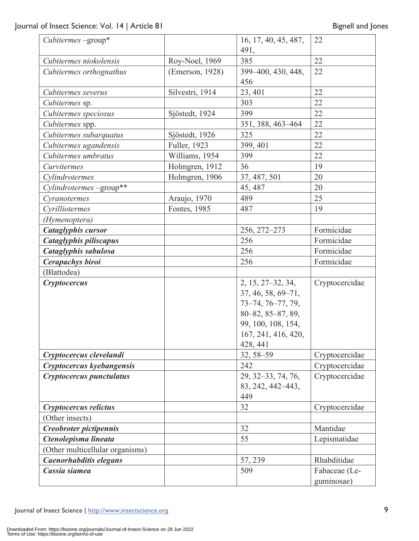| $Cubic$ rmes $-\text{group}^*$  |                 | 16, 17, 40, 45, 487, | 22             |
|---------------------------------|-----------------|----------------------|----------------|
|                                 |                 | 491,                 |                |
| Cubitermes niokolensis          | Roy-Noel, 1969  | 385                  | 22             |
| Cubitermes orthognathus         | (Emerson, 1928) | 399-400, 430, 448,   | 22             |
|                                 |                 | 456                  |                |
| Cubitermes severus              | Silvestri, 1914 | 23, 401              | 22             |
| Cubitermes sp.                  |                 | 303                  | 22             |
| Cubitermes speciosus            | Sjöstedt, 1924  | 399                  | 22             |
| Cubitermes spp.                 |                 | 351, 388, 463-464    | 22             |
| Cubitermes subarquatus          | Sjöstedt, 1926  | 325                  | 22             |
| Cubitermes ugandensis           | Fuller, 1923    | 399, 401             | 22             |
| Cubitermes umbratus             | Williams, 1954  | 399                  | 22             |
| Curvitermes                     | Holmgren, 1912  | 36                   | 19             |
| Cylindrotermes                  | Holmgren, 1906  | 37, 487, 501         | 20             |
| Cylindrotermes -group**         |                 | 45, 487              | 20             |
| Cyranotermes                    | Araujo, 1970    | 489                  | 25             |
| Cyrilliotermes                  | Fontes, 1985    | 487                  | 19             |
| (Hymenoptera)                   |                 |                      |                |
| <b>Cataglyphis cursor</b>       |                 | 256, 272-273         | Formicidae     |
| Cataglyphis piliscapus          |                 | 256                  | Formicidae     |
| Cataglyphis sabulosa            |                 | 256                  | Formicidae     |
| <b>Cerapachys biroi</b>         |                 | 256                  | Formicidae     |
| (Blattodea)                     |                 |                      |                |
| <b>Cryptocercus</b>             |                 | 2, 15, 27–32, 34,    | Cryptocercidae |
|                                 |                 | 37, 46, 58, 69–71,   |                |
|                                 |                 | 73-74, 76-77, 79,    |                |
|                                 |                 | 80-82, 85-87, 89,    |                |
|                                 |                 | 99, 100, 108, 154,   |                |
|                                 |                 | 167, 241, 416, 420,  |                |
|                                 |                 | 428, 441             |                |
| Cryptocercus clevelandi         |                 | 32, 58-59            | Cryptocercidae |
| Cryptocercus kyebangensis       |                 | 242                  | Cryptocercidae |
| Cryptocercus punctulatus        |                 | 29, 32–33, 74, 76,   | Cryptocercidae |
|                                 |                 | 83, 242, 442–443,    |                |
|                                 |                 | 449                  |                |
| Cryptocercus relictus           |                 | 32                   | Cryptocercidae |
| (Other insects)                 |                 |                      |                |
| Creobroter pictipennis          |                 | 32                   | Mantidae       |
| Ctenolepisma lineata            |                 | 55                   | Lepismatidae   |
| (Other multicellular organisms) |                 |                      |                |
| Caenorhabditis elegans          |                 | 57, 239              | Rhabditidae    |
| Cassia siamea                   |                 | 509                  | Fabaceae (Le-  |
|                                 |                 |                      | guminosae)     |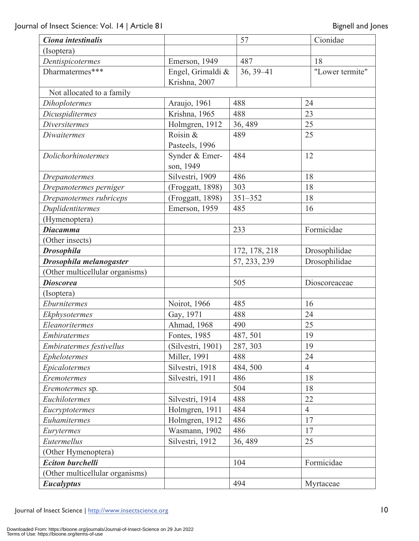| Ciona intestinalis              |                      | 57            | Cionidae        |
|---------------------------------|----------------------|---------------|-----------------|
| (Isoptera)                      |                      |               |                 |
| Dentispicotermes                | Emerson, 1949        | 487           | 18              |
| Dharmatermes***                 | Engel, Grimaldi &    | 36, 39 - 41   | "Lower termite" |
|                                 | Krishna, 2007        |               |                 |
| Not allocated to a family       |                      |               |                 |
| Dihoplotermes                   | Araujo, 1961         | 488           | 24              |
| Dicuspiditermes                 | Krishna, 1965        | 488           | 23              |
| <b>Diversitermes</b>            | Holmgren, 1912       | 36, 489       | 25              |
| <b>Diwaitermes</b>              | Roisin &             | 489           | 25              |
|                                 | Pasteels, 1996       |               |                 |
| Dolichorhinotermes              | Synder & Emer-       | 484           | 12              |
|                                 | son, 1949            |               |                 |
| Drepanotermes                   | Silvestri, 1909      | 486           | 18              |
| Drepanotermes perniger          | (Froggatt, 1898)     | 303           | 18              |
| Drepanotermes rubriceps         | (Froggatt, 1898)     | $351 - 352$   | 18              |
| Duplidentitermes                | Emerson, 1959        | 485           | 16              |
| (Hymenoptera)                   |                      |               |                 |
| <b>Diacamma</b>                 |                      | 233           | Formicidae      |
| (Other insects)                 |                      |               |                 |
| <b>Drosophila</b>               |                      | 172, 178, 218 | Drosophilidae   |
| Drosophila melanogaster         |                      | 57, 233, 239  | Drosophilidae   |
| (Other multicellular organisms) |                      |               |                 |
| <b>Dioscorea</b>                |                      | 505           | Dioscoreaceae   |
| (Isoptera)                      |                      |               |                 |
| Eburnitermes                    | Noirot, 1966         | 485           | 16              |
| Ekphysotermes                   | Gay, 1971            | 488           | 24              |
| Eleanoritermes                  | Ahmad, 1968          | 490           | 25              |
| Embiratermes                    | Fontes, 1985         | 487, 501      | 19              |
| Embiratermes festivellus        | (Silvestri, 1901)    | 287, 303      | 19              |
| Ephelotermes                    | <b>Miller</b> , 1991 | 488           | 24              |
| Epicalotermes                   | Silvestri, 1918      | 484,500       | $\overline{4}$  |
| Eremotermes                     | Silvestri, 1911      | 486           | 18              |
| Eremotermes sp.                 |                      | 504           | 18              |
| Euchilotermes                   | Silvestri, 1914      | 488           | 22              |
| Eucryptotermes                  | Holmgren, 1911       | 484           | $\overline{4}$  |
| Euhamitermes                    | Holmgren, 1912       | 486           | 17              |
| Eurytermes                      | Wasmann, 1902        | 486           | 17              |
| Eutermellus                     | Silvestri, 1912      | 36, 489       | 25              |
| (Other Hymenoptera)             |                      |               |                 |
| <b>Eciton burchelli</b>         |                      | 104           | Formicidae      |
| (Other multicellular organisms) |                      |               |                 |
| <b>Eucalyptus</b>               |                      | 494           | Myrtaceae       |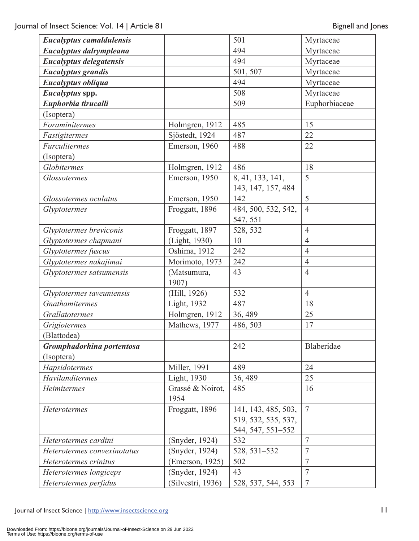| <b>Eucalyptus camaldulensis</b> |                   | 501                 | Myrtaceae       |
|---------------------------------|-------------------|---------------------|-----------------|
| Eucalyptus dalrympleana         |                   | 494                 | Myrtaceae       |
| <b>Eucalyptus delegatensis</b>  |                   | 494                 | Myrtaceae       |
| <b>Eucalyptus grandis</b>       |                   | 501, 507            | Myrtaceae       |
| Eucalyptus obliqua              |                   | 494                 | Myrtaceae       |
| Eucalyptus spp.                 |                   | 508                 | Myrtaceae       |
| Euphorbia tirucalli             |                   | 509                 | Euphorbiaceae   |
| (Isoptera)                      |                   |                     |                 |
| Foraminitermes                  | Holmgren, 1912    | 485                 | 15              |
| Fastigitermes                   | Sjöstedt, 1924    | 487                 | 22              |
| Furculitermes                   | Emerson, 1960     | 488                 | 22              |
| (Isoptera)                      |                   |                     |                 |
| Globitermes                     | Holmgren, 1912    | 486                 | 18              |
| <b>Glossotermes</b>             | Emerson, 1950     | 8, 41, 133, 141,    | 5               |
|                                 |                   | 143, 147, 157, 484  |                 |
| Glossotermes oculatus           | Emerson, 1950     | 142                 | 5               |
| Glyptotermes                    | Froggatt, 1896    | 484, 500, 532, 542, | $\overline{4}$  |
|                                 |                   | 547, 551            |                 |
| Glyptotermes breviconis         | Froggatt, 1897    | 528, 532            | $\overline{4}$  |
| Glyptotermes chapmani           | (Light, 1930)     | 10                  | $\overline{4}$  |
| Glyptotermes fuscus             | Oshima, 1912      | 242                 | $\overline{4}$  |
| Glyptotermes nakajimai          | Morimoto, 1973    | 242                 | $\overline{4}$  |
| Glyptotermes satsumensis        | (Matsumura,       | 43                  | $\overline{4}$  |
|                                 | 1907)             |                     |                 |
| Glyptotermes taveuniensis       | (Hill, 1926)      | 532                 | $\overline{4}$  |
| Gnathamitermes                  | Light, 1932       | 487                 | 18              |
| Grallatotermes                  | Holmgren, 1912    | 36, 489             | 25              |
| Grigiotermes                    | Mathews, 1977     | 486, 503            | 17              |
| (Blattodea)                     |                   |                     |                 |
| Gromphadorhina portentosa       |                   | 242                 | Blaberidae      |
| (Isoptera)                      |                   |                     |                 |
| Hapsidotermes                   | Miller, 1991      | 489                 | 24              |
| Havilanditermes                 | Light, 1930       | 36, 489             | 25              |
| Heimitermes                     | Grassé & Noirot,  | 485                 | 16              |
|                                 | 1954              |                     |                 |
| <b>Heterotermes</b>             | Froggatt, 1896    | 141, 143, 485, 503, | $7\phantom{.0}$ |
|                                 |                   | 519, 532, 535, 537, |                 |
|                                 |                   | 544, 547, 551–552   |                 |
| Heterotermes cardini            | (Snyder, 1924)    | 532                 | $\overline{7}$  |
| Heterotermes convexinotatus     | (Snyder, 1924)    | 528, 531-532        | $\overline{7}$  |
| Heterotermes crinitus           | (Emerson, 1925)   | 502                 | $\overline{7}$  |
| Heterotermes longiceps          | (Snyder, 1924)    | 43                  | 7               |
| Heterotermes perfidus           | (Silvestri, 1936) | 528, 537, 544, 553  | $\overline{7}$  |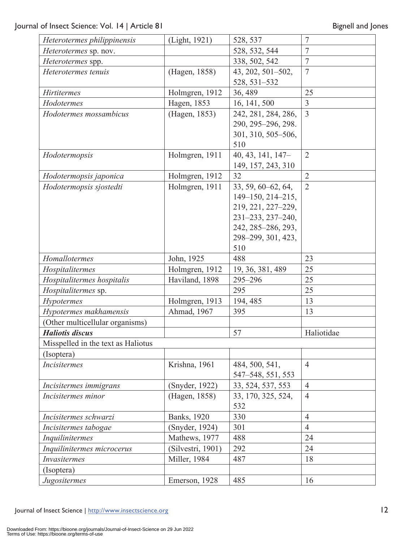| Heterotermes philippinensis        | (Light, 1921)     | 528, 537                    | $\overline{7}$ |
|------------------------------------|-------------------|-----------------------------|----------------|
| Heterotermes sp. nov.              |                   | 528, 532, 544               | $\overline{7}$ |
| Heterotermes spp.                  |                   | 338, 502, 542               | $\overline{7}$ |
| Heterotermes tenuis                | (Hagen, 1858)     | 43, 202, 501-502,           | $\overline{7}$ |
|                                    |                   | 528, 531-532                |                |
| <b>Hirtitermes</b>                 | Holmgren, 1912    | 36, 489                     | 25             |
| Hodotermes                         | Hagen, 1853       | 16, 141, 500                | $\overline{3}$ |
| Hodotermes mossambicus             | (Hagen, 1853)     | 242, 281, 284, 286,         | $\overline{3}$ |
|                                    |                   | 290, 295-296, 298.          |                |
|                                    |                   | 301, 310, 505-506,          |                |
|                                    |                   | 510                         |                |
| Hodotermopsis                      | Holmgren, 1911    | 40, 43, 141, 147-           | $\overline{2}$ |
|                                    |                   | 149, 157, 243, 310          |                |
| Hodotermopsis japonica             | Holmgren, 1912    | 32                          | $\overline{2}$ |
| Hodotermopsis sjostedti            | Holmgren, 1911    | 33, 59, 60–62, 64,          | $\overline{2}$ |
|                                    |                   | $149 - 150$ , $214 - 215$ , |                |
|                                    |                   | 219, 221, 227-229,          |                |
|                                    |                   | 231-233, 237-240,           |                |
|                                    |                   | 242, 285-286, 293,          |                |
|                                    |                   | 298-299, 301, 423,          |                |
|                                    |                   | 510                         |                |
| Homallotermes                      | John, 1925        | 488                         | 23             |
| Hospitalitermes                    | Holmgren, 1912    | 19, 36, 381, 489            | 25             |
| Hospitalitermes hospitalis         | Haviland, 1898    | 295-296                     | 25             |
| Hospitalitermes sp.                |                   | 295                         | 25             |
| <b>Hypotermes</b>                  | Holmgren, 1913    | 194, 485                    | 13             |
| Hypotermes makhamensis             | Ahmad, 1967       | 395                         | 13             |
| (Other multicellular organisms)    |                   |                             |                |
| <b>Haliotis discus</b>             |                   | 57                          | Haliotidae     |
| Misspelled in the text as Haliotus |                   |                             |                |
| (Isoptera)                         |                   |                             |                |
| <b>Incisitermes</b>                | Krishna, 1961     | 484, 500, 541,              | $\overline{4}$ |
|                                    |                   | 547-548, 551, 553           |                |
| Incisitermes immigrans             | (Snyder, 1922)    | 33, 524, 537, 553           | $\overline{4}$ |
| Incisitermes minor                 | (Hagen, 1858)     | 33, 170, 325, 524,<br>532   | $\overline{4}$ |
| Incisitermes schwarzi              | Banks, 1920       | 330                         | $\overline{4}$ |
| Incisitermes tabogae               | (Snyder, 1924)    | 301                         | $\overline{4}$ |
| Inquilinitermes                    | Mathews, 1977     | 488                         | 24             |
| Inquilinitermes microcerus         | (Silvestri, 1901) | 292                         | 24             |
| <b>Invasitermes</b>                | Miller, 1984      | 487                         | 18             |
| (Isoptera)                         |                   |                             |                |
| Jugositermes                       | Emerson, 1928     | 485                         | 16             |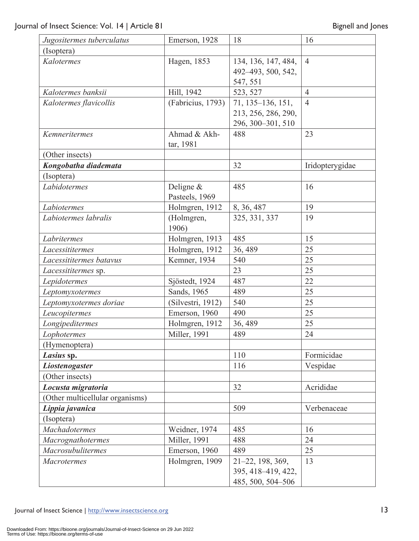| Jugositermes tuberculatus       | Emerson, 1928       | 18                  | 16              |
|---------------------------------|---------------------|---------------------|-----------------|
| (Isoptera)                      |                     |                     |                 |
| Kalotermes                      | Hagen, 1853         | 134, 136, 147, 484, | $\overline{4}$  |
|                                 |                     | 492-493, 500, 542,  |                 |
|                                 |                     | 547, 551            |                 |
| Kalotermes banksii              | Hill, 1942          | 523, 527            | $\overline{4}$  |
| Kalotermes flavicollis          | (Fabricius, 1793)   | 71, 135-136, 151,   | $\overline{4}$  |
|                                 |                     | 213, 256, 286, 290, |                 |
|                                 |                     | 296, 300-301, 510   |                 |
| Kemneritermes                   | Ahmad & Akh-        | 488                 | 23              |
|                                 | tar, 1981           |                     |                 |
| (Other insects)                 |                     |                     |                 |
| Kongobatha diademata            |                     | 32                  | Iridopterygidae |
| (Isoptera)                      |                     |                     |                 |
| Labidotermes                    | Deligne $&$         | 485                 | 16              |
|                                 | Pasteels, 1969      |                     |                 |
| Labiotermes                     | Holmgren, 1912      | 8, 36, 487          | 19              |
| Labiotermes labralis            | (Holmgren,<br>1906) | 325, 331, 337       | 19              |
| Labritermes                     | Holmgren, 1913      | 485                 | 15              |
| Lacessititermes                 | Holmgren, 1912      | 36, 489             | 25              |
| Lacessititermes batavus         | Kemner, 1934        | 540                 | 25              |
| Lacessititermes sp.             |                     | 23                  | 25              |
| Lepidotermes                    | Sjöstedt, 1924      | 487                 | 22              |
| Leptomyxotermes                 | Sands, 1965         | 489                 | 25              |
| Leptomyxotermes doriae          | (Silvestri, 1912)   | 540                 | 25              |
| Leucopitermes                   | Emerson, 1960       | 490                 | 25              |
| Longipeditermes                 | Holmgren, 1912      | 36, 489             | 25              |
| Lophotermes                     | Miller, 1991        | 489                 | 24              |
| (Hymenoptera)                   |                     |                     |                 |
| Lasius sp.                      |                     | 110                 | Formicidae      |
| Liostenogaster                  |                     | 116                 | Vespidae        |
| (Other insects)                 |                     |                     |                 |
| Locusta migratoria              |                     | 32                  | Acrididae       |
| (Other multicellular organisms) |                     |                     |                 |
| Lippia javanica                 |                     | 509                 | Verbenaceae     |
| (Isoptera)                      |                     |                     |                 |
| <b>Machadotermes</b>            | Weidner, 1974       | 485                 | 16              |
| Macrognathotermes               | Miller, 1991        | 488                 | 24              |
| Macrosubulitermes               | Emerson, 1960       | 489                 | 25              |
| <b>Macrotermes</b>              | Holmgren, 1909      | 21-22, 198, 369,    | 13              |
|                                 |                     | 395, 418-419, 422,  |                 |
|                                 |                     | 485, 500, 504-506   |                 |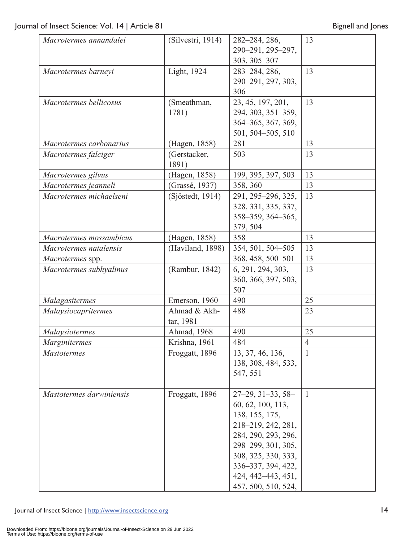| (Silvestri, 1914) | 282-284, 286,                                   | 13                                                                                                                                                                                                      |
|-------------------|-------------------------------------------------|---------------------------------------------------------------------------------------------------------------------------------------------------------------------------------------------------------|
|                   | 290-291, 295-297,                               |                                                                                                                                                                                                         |
|                   | 303, 305-307                                    |                                                                                                                                                                                                         |
|                   |                                                 | 13                                                                                                                                                                                                      |
|                   |                                                 |                                                                                                                                                                                                         |
|                   | 306                                             |                                                                                                                                                                                                         |
| (Smeathman,       | 23, 45, 197, 201,                               | 13                                                                                                                                                                                                      |
| 1781)             | 294, 303, 351-359,                              |                                                                                                                                                                                                         |
|                   |                                                 |                                                                                                                                                                                                         |
|                   | 501, 504-505, 510                               |                                                                                                                                                                                                         |
| (Hagen, 1858)     | 281                                             | 13                                                                                                                                                                                                      |
| (Gerstacker,      | 503                                             | 13                                                                                                                                                                                                      |
| 1891)             |                                                 |                                                                                                                                                                                                         |
| (Hagen, 1858)     | 199, 395, 397, 503                              | 13                                                                                                                                                                                                      |
|                   |                                                 | 13                                                                                                                                                                                                      |
| (Sjöstedt, 1914)  | 291, 295-296, 325,                              | 13                                                                                                                                                                                                      |
|                   | 328, 331, 335, 337,                             |                                                                                                                                                                                                         |
|                   | 358-359, 364-365,                               |                                                                                                                                                                                                         |
|                   | 379, 504                                        |                                                                                                                                                                                                         |
| (Hagen, 1858)     | 358                                             | 13                                                                                                                                                                                                      |
| (Haviland, 1898)  | 354, 501, 504-505                               | 13                                                                                                                                                                                                      |
|                   | 368, 458, 500-501                               | 13                                                                                                                                                                                                      |
| (Rambur, 1842)    | 6, 291, 294, 303,                               | 13                                                                                                                                                                                                      |
|                   | 360, 366, 397, 503,                             |                                                                                                                                                                                                         |
|                   | 507                                             |                                                                                                                                                                                                         |
| Emerson, 1960     | 490                                             | 25                                                                                                                                                                                                      |
| Ahmad & Akh-      | 488                                             | 23                                                                                                                                                                                                      |
| tar, 1981         |                                                 |                                                                                                                                                                                                         |
| Ahmad, 1968       | 490                                             | 25                                                                                                                                                                                                      |
| Krishna, 1961     | 484                                             | $\overline{4}$                                                                                                                                                                                          |
| Froggatt, 1896    | 13, 37, 46, 136,                                | $\mathbf{1}$                                                                                                                                                                                            |
|                   |                                                 |                                                                                                                                                                                                         |
|                   | 547, 551                                        |                                                                                                                                                                                                         |
|                   |                                                 |                                                                                                                                                                                                         |
|                   |                                                 | $\mathbf{1}$                                                                                                                                                                                            |
|                   |                                                 |                                                                                                                                                                                                         |
|                   |                                                 |                                                                                                                                                                                                         |
|                   |                                                 |                                                                                                                                                                                                         |
|                   |                                                 |                                                                                                                                                                                                         |
|                   |                                                 |                                                                                                                                                                                                         |
|                   |                                                 |                                                                                                                                                                                                         |
|                   | 298-299, 301, 305,                              |                                                                                                                                                                                                         |
|                   | 308, 325, 330, 333,                             |                                                                                                                                                                                                         |
|                   | 336-337, 394, 422,<br>424, 442–443, 451,        |                                                                                                                                                                                                         |
|                   | Light, 1924<br>(Grassé, 1937)<br>Froggatt, 1896 | 283-284, 286,<br>290-291, 297, 303,<br>364-365, 367, 369,<br>358, 360<br>138, 308, 484, 533,<br>$27-29, 31-33, 58-$<br>60, 62, 100, 113,<br>138, 155, 175,<br>218-219, 242, 281,<br>284, 290, 293, 296, |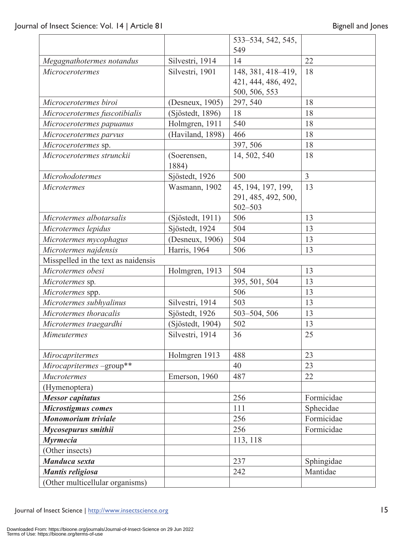|                                     |                      | 533-534, 542, 545,  |                |
|-------------------------------------|----------------------|---------------------|----------------|
|                                     |                      | 549                 |                |
| Megagnathotermes notandus           | Silvestri, 1914      | 14                  |                |
| Microcerotermes                     | Silvestri, 1901      | 148, 381, 418-419,  | 18             |
|                                     |                      | 421, 444, 486, 492, |                |
|                                     |                      | 500, 506, 553       |                |
| Microcerotermes biroi               | (Desneux, 1905)      | 297, 540            | 18             |
| Microcerotermes fuscotibialis       | (Sjöstedt, 1896)     | 18                  | 18             |
| Microcerotermes papuanus            | Holmgren, 1911       | 540                 | 18             |
| Microcerotermes parvus              | (Haviland, 1898)     | 466                 | 18             |
| Microcerotermes sp.                 |                      | 397, 506            | 18             |
| Microcerotermes strunckii           | (Soerensen,<br>1884) | 14, 502, 540        | 18             |
| <b>Microhodotermes</b>              | Sjöstedt, 1926       | 500                 | $\overline{3}$ |
| <b>Microtermes</b>                  | Wasmann, 1902        | 45, 194, 197, 199,  | 13             |
|                                     |                      | 291, 485, 492, 500, |                |
|                                     |                      | $502 - 503$         |                |
| Microtermes albotarsalis            | (Sjöstedt, 1911)     | 506                 | 13             |
| Microtermes lepidus                 | Sjöstedt, 1924       | 504                 | 13             |
| Microtermes mycophagus              | (Desneux, 1906)      | 504                 | 13             |
| Microtermes najdensis               | Harris, 1964         | 506                 | 13             |
| Misspelled in the text as naidensis |                      |                     |                |
| Microtermes obesi                   | Holmgren, 1913       | 504                 | 13             |
| Microtermes sp.                     |                      | 395, 501, 504       | 13             |
| Microtermes spp.                    |                      | 506                 | 13             |
| Microtermes subhyalinus             | Silvestri, 1914      | 503                 | 13             |
| Microtermes thoracalis              | Sjöstedt, 1926       | 503-504, 506        | 13             |
| Microtermes traegardhi              | (Sjöstedt, 1904)     | 502                 | 13             |
| <b>Mimeutermes</b>                  | Silvestri, 1914      | 36                  | 25             |
| Mirocapritermes                     | Holmgren 1913        | 488                 | 23             |
| Mirocapritermes-group**             |                      | 40                  | 23             |
| <b>Mucrotermes</b>                  | Emerson, 1960        | 487                 | 22             |
| (Hymenoptera)                       |                      |                     |                |
| <b>Messor</b> capitatus             |                      | 256                 | Formicidae     |
| Microstigmus comes                  |                      | 111                 | Sphecidae      |
| <b>Monomorium</b> triviale          |                      | 256                 | Formicidae     |
| Mycosepurus smithii                 |                      | 256                 | Formicidae     |
| <b>Myrmecia</b>                     |                      | 113, 118            |                |
| (Other insects)                     |                      |                     |                |
| Manduca sexta                       |                      | 237                 | Sphingidae     |
| Mantis religiosa                    |                      | 242                 | Mantidae       |
| (Other multicellular organisms)     |                      |                     |                |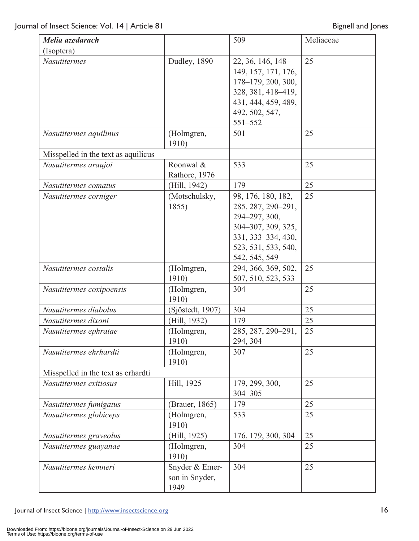| Melia azedarach                     |                                          | 509                                                                                                                                           | Meliaceae |
|-------------------------------------|------------------------------------------|-----------------------------------------------------------------------------------------------------------------------------------------------|-----------|
| (Isoptera)                          |                                          |                                                                                                                                               |           |
| <b>Nasutitermes</b>                 | Dudley, 1890                             | 22, 36, 146, 148-<br>149, 157, 171, 176,<br>178-179, 200, 300,<br>328, 381, 418-419,<br>431, 444, 459, 489,<br>492, 502, 547,<br>551-552      | 25        |
| Nasutitermes aquilinus              | (Holmgren,<br>1910)                      | 501                                                                                                                                           | 25        |
| Misspelled in the text as aquilicus |                                          |                                                                                                                                               |           |
| Nasutitermes araujoi                | Roonwal &<br>Rathore, 1976               | 533                                                                                                                                           | 25        |
| Nasutitermes comatus                | (Hill, 1942)                             | 179                                                                                                                                           | 25        |
| Nasutitermes corniger               | (Motschulsky,<br>1855)                   | 98, 176, 180, 182,<br>285, 287, 290-291,<br>294-297, 300,<br>304-307, 309, 325,<br>331, 333-334, 430,<br>523, 531, 533, 540,<br>542, 545, 549 | 25        |
| Nasutitermes costalis               | (Holmgren,<br>1910)                      | 294, 366, 369, 502,<br>507, 510, 523, 533                                                                                                     | 25        |
| Nasutitermes coxipoensis            | (Holmgren,<br>1910)                      | 304                                                                                                                                           | 25        |
| Nasutitermes diabolus               | (Sjöstedt, 1907)                         | 304                                                                                                                                           | 25        |
| Nasutitermes dixoni                 | (Hill, 1932)                             | 179                                                                                                                                           | 25        |
| Nasutitermes ephratae               | (Holmgren,<br>1910)                      | 285, 287, 290–291,<br>294, 304                                                                                                                | 25        |
| Nasutitermes ehrhardti              | (Holmgren,<br>1910)                      | 307                                                                                                                                           | 25        |
| Misspelled in the text as erhardti  |                                          |                                                                                                                                               |           |
| Nasutitermes exitiosus              | Hill, 1925                               | 179, 299, 300,<br>304-305                                                                                                                     | 25        |
| Nasutitermes fumigatus              | (Brauer, 1865)                           | 179                                                                                                                                           | 25        |
| Nasutitermes globiceps              | (Holmgren,<br>1910)                      | 533                                                                                                                                           | 25        |
| Nasutitermes graveolus              | (Hill, 1925)                             | 176, 179, 300, 304                                                                                                                            | 25        |
| Nasutitermes guayanae               | (Holmgren,<br>1910)                      | 304                                                                                                                                           | 25        |
| Nasutitermes kemneri                | Snyder & Emer-<br>son in Snyder,<br>1949 | 304                                                                                                                                           | 25        |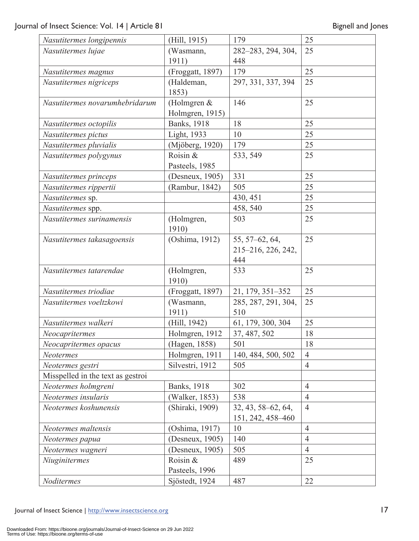| Nasutitermes longipennis          | (Hill, 1915)        | 179                 | 25             |
|-----------------------------------|---------------------|---------------------|----------------|
| Nasutitermes lujae                | (Wasmann,           | 282-283, 294, 304,  | 25             |
|                                   | 1911)               | 448                 |                |
| Nasutitermes magnus               | (Froggatt, 1897)    | 179                 | 25             |
| Nasutitermes nigriceps            | (Haldeman,          | 297, 331, 337, 394  | 25             |
|                                   | 1853)               |                     |                |
| Nasutitermes novarumhebridarum    | (Holmgren $&$       | 146                 | 25             |
|                                   | Holmgren, 1915)     |                     |                |
| Nasutitermes octopilis            | <b>Banks</b> , 1918 | 18                  | 25             |
| Nasutitermes pictus               | Light, 1933         | 10                  | 25             |
| Nasutitermes pluvialis            | (Mjöberg, 1920)     | 179                 | 25             |
| Nasutitermes polygynus            | Roisin &            | 533, 549            | 25             |
|                                   | Pasteels, 1985      |                     |                |
| Nasutitermes princeps             | (Desneux, 1905)     | 331                 | 25             |
| Nasutitermes rippertii            | (Rambur, 1842)      | 505                 | 25             |
| Nasutitermes sp.                  |                     | 430, 451            | 25             |
| Nasutitermes spp.                 |                     | 458, 540            | 25             |
| Nasutitermes surinamensis         | (Holmgren,          | 503                 | 25             |
|                                   | 1910)               |                     |                |
| Nasutitermes takasagoensis        | (Oshima, 1912)      | 55, 57–62, 64,      | 25             |
|                                   |                     | 215-216, 226, 242,  |                |
|                                   |                     | 444                 |                |
| Nasutitermes tatarendae           | (Holmgren,          | 533                 | 25             |
|                                   | 1910)               |                     |                |
| Nasutitermes triodiae             | (Froggatt, 1897)    | 21, 179, 351-352    | 25             |
| Nasutitermes voeltzkowi           | (Wasmann,           | 285, 287, 291, 304, | 25             |
|                                   | 1911)               | 510                 |                |
| Nasutitermes walkeri              | (Hill, 1942)        | 61, 179, 300, 304   | 25             |
| Neocapritermes                    | Holmgren, 1912      | 37, 487, 502        | 18             |
| Neocapritermes opacus             | (Hagen, 1858)       | 501                 | 18             |
| Neotermes                         | Holmgren, 1911      | 140, 484, 500, 502  | $\overline{4}$ |
| Neotermes gestri                  | Silvestri, 1912     | 505                 | $\overline{4}$ |
| Misspelled in the text as gestroi |                     |                     |                |
| Neotermes holmgreni               | <b>Banks</b> , 1918 | 302                 | $\overline{4}$ |
| Neotermes insularis               | (Walker, 1853)      | 538                 | $\overline{4}$ |
| Neotermes koshunensis             | (Shiraki, 1909)     | 32, 43, 58–62, 64,  | $\overline{4}$ |
|                                   |                     | 151, 242, 458-460   |                |
| Neotermes maltensis               | (Oshima, 1917)      | 10                  | $\overline{4}$ |
| Neotermes papua                   | (Desneux, 1905)     | 140                 | $\overline{4}$ |
| Neotermes wagneri                 | (Desneux, 1905)     | 505                 | $\overline{4}$ |
| Niuginitermes                     | Roisin &            | 489                 | 25             |
|                                   | Pasteels, 1996      |                     |                |
| Noditermes                        | Sjöstedt, 1924      | 487                 | 22             |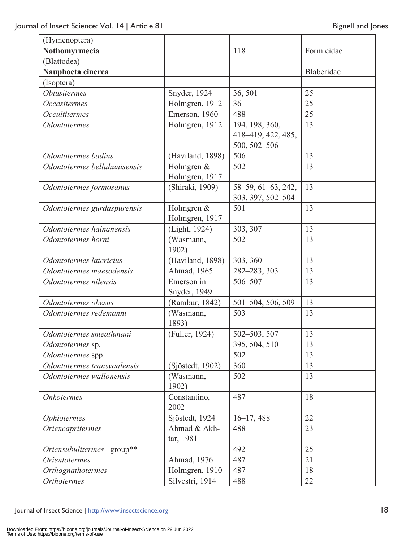| (Hymenoptera)                |                  |                    |            |
|------------------------------|------------------|--------------------|------------|
| Nothomyrmecia                |                  | 118                | Formicidae |
| (Blattodea)                  |                  |                    |            |
| Nauphoeta cinerea            |                  |                    | Blaberidae |
| (Isoptera)                   |                  |                    |            |
| <b>Obtusitermes</b>          | Snyder, 1924     | 36, 501            | 25         |
| <b>Occasitermes</b>          | Holmgren, 1912   | 36                 | 25         |
| <b>Occultitermes</b>         | Emerson, 1960    | 488                | 25         |
| <b>Odontotermes</b>          | Holmgren, 1912   | 194, 198, 360,     | 13         |
|                              |                  | 418-419, 422, 485, |            |
|                              |                  | 500, 502-506       |            |
| Odontotermes badius          | (Haviland, 1898) | 506                | 13         |
| Odontotermes bellahunisensis | Holmgren &       | 502                | 13         |
|                              | Holmgren, 1917   |                    |            |
| Odontotermes formosanus      | (Shiraki, 1909)  | 58-59, 61-63, 242, | 13         |
|                              |                  | 303, 397, 502-504  |            |
| Odontotermes gurdaspurensis  | Holmgren &       | 501                | 13         |
|                              | Holmgren, 1917   |                    |            |
| Odontotermes hainanensis     | (Light, 1924)    | 303, 307           | 13         |
| Odontotermes horni           | (Wasmann,        | 502                | 13         |
|                              | 1902)            |                    |            |
| Odontotermes latericius      | (Haviland, 1898) | 303, 360           | 13         |
| Odontotermes maesodensis     | Ahmad, 1965      | 282-283, 303       | 13         |
| Odontotermes nilensis        | Emerson in       | 506-507            | 13         |
|                              | Snyder, 1949     |                    |            |
| Odontotermes obesus          | (Rambur, 1842)   | 501-504, 506, 509  | 13         |
| Odontotermes redemanni       | (Wasmann,        | 503                | 13         |
|                              | 1893)            |                    |            |
| Odontotermes smeathmani      | (Fuller, 1924)   | 502-503, 507       | 13         |
| Odontotermes sp.             |                  | 395, 504, 510      | 13         |
| Odontotermes spp.            |                  | 502                | 13         |
| Odontotermes transvaalensis  | (Sjöstedt, 1902) | 360                | 13         |
| Odontotermes wallonensis     | (Wasmann,        | 502                | 13         |
|                              | 1902)            |                    |            |
| <b>Onkotermes</b>            | Constantino,     | 487                | 18         |
|                              | 2002             |                    |            |
| <i><b>Ophiotermes</b></i>    | Sjöstedt, 1924   | $16 - 17,488$      | 22         |
| <i>Oriencapritermes</i>      | Ahmad & Akh-     | 488                | 23         |
|                              | tar, 1981        |                    |            |
| Oriensubulitermes-group**    |                  | 492                | 25         |
| <i><b>Orientotermes</b></i>  | Ahmad, 1976      | 487                | 21         |
| Orthognathotermes            | Holmgren, 1910   | 487                | 18         |
| <b>Orthotermes</b>           | Silvestri, 1914  | 488                | 22         |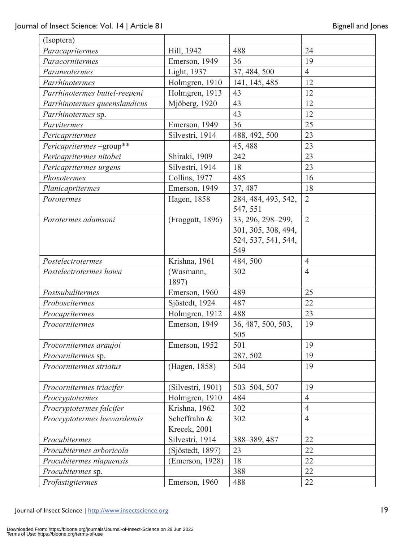| (Isoptera)                    |                   |                     |                |
|-------------------------------|-------------------|---------------------|----------------|
| Paracapritermes               | Hill, 1942        | 488                 | 24             |
| Paracornitermes               | Emerson, 1949     | 36                  | 19             |
| Paraneotermes                 | Light, 1937       | 37, 484, 500        | $\overline{4}$ |
| Parrhinotermes                | Holmgren, 1910    | 141, 145, 485       | 12             |
| Parrhinotermes buttel-reepeni | Holmgren, 1913    | 43                  | 12             |
| Parrhinotermes queenslandicus | Mjöberg, 1920     | 43                  | 12             |
| <i>Parrhinotermes sp.</i>     |                   | 43                  | 12             |
| Parvitermes                   | Emerson, 1949     | 36                  | 25             |
| Pericapritermes               | Silvestri, 1914   | 488, 492, 500       | 23             |
| Pericapritermes-group**       |                   | 45, 488             | 23             |
| Pericapritermes nitobei       | Shiraki, 1909     | 242                 | 23             |
| Pericapritermes urgens        | Silvestri, 1914   | 18                  | 23             |
| Phoxotermes                   | Collins, 1977     | 485                 | 16             |
| Planicapritermes              | Emerson, 1949     | 37, 487             | 18             |
| Porotermes                    | Hagen, 1858       | 284, 484, 493, 542, | 2              |
|                               |                   | 547, 551            |                |
| Porotermes adamsoni           | (Froggatt, 1896)  | 33, 296, 298-299,   | $\overline{2}$ |
|                               |                   | 301, 305, 308, 494, |                |
|                               |                   | 524, 537, 541, 544, |                |
|                               |                   | 549                 |                |
| Postelectrotermes             | Krishna, 1961     | 484,500             | $\overline{4}$ |
| Postelectrotermes howa        | (Wasmann,         | 302                 | $\overline{4}$ |
|                               | 1897)             |                     |                |
| Postsubulitermes              | Emerson, 1960     | 489                 | 25             |
| Proboscitermes                | Sjöstedt, 1924    | 487                 | 22             |
| Procapritermes                | Holmgren, 1912    | 488                 | 23             |
| Procornitermes                | Emerson, 1949     | 36, 487, 500, 503,  | 19             |
|                               |                   | 505                 |                |
| Procornitermes araujoi        | Emerson, 1952     | 501                 | 19             |
| Procornitermes sp.            |                   | 287, 502            | 19             |
| Procornitermes striatus       | (Hagen, 1858)     | 504                 | 19             |
|                               |                   |                     |                |
| Procornitermes triacifer      | (Silvestri, 1901) | 503-504, 507        | 19             |
| Procryptotermes               | Holmgren, 1910    | 484                 | $\overline{4}$ |
| Procryptotermes falcifer      | Krishna, 1962     | 302                 | $\overline{4}$ |
| Procryptotermes leewardensis  | Scheffrahn &      | 302                 | $\overline{4}$ |
|                               | Krecek, 2001      |                     |                |
| Procubitermes                 | Silvestri, 1914   | 388-389, 487        | 22             |
| Procubitermes arboricola      | (Sjöstedt, 1897)  | 23                  | 22             |
| Procubitermes niapuensis      | (Emerson, 1928)   | 18                  | 22             |
| Procubitermes sp.             |                   | 388                 | 22             |
| Profastigitermes              | Emerson, 1960     | 488                 | 22             |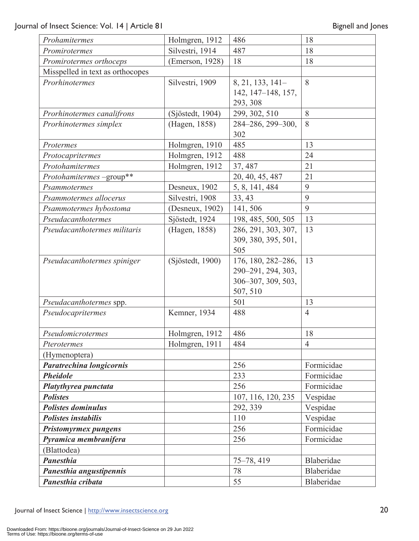| Prohamitermes                                        | Holmgren, 1912   | 486                 | 18             |
|------------------------------------------------------|------------------|---------------------|----------------|
| Promirotermes                                        | Silvestri, 1914  | 487                 | 18             |
| Promirotermes orthoceps                              | (Emerson, 1928)  | 18                  | 18             |
| Misspelled in text as orthocopes                     |                  |                     |                |
| Prorhinotermes                                       | Silvestri, 1909  | 8, 21, 133, 141-    | 8              |
|                                                      |                  | 142, 147-148, 157,  |                |
|                                                      |                  | 293, 308            |                |
| Prorhinotermes canalifrons                           | (Sjöstedt, 1904) | 299, 302, 510       | 8              |
| Prorhinotermes simplex                               | (Hagen, 1858)    | 284-286, 299-300,   | 8              |
|                                                      |                  | 302                 |                |
| Protermes                                            | Holmgren, 1910   | 485                 | 13             |
| Protocapritermes                                     | Holmgren, 1912   | 488                 | 24             |
| Protohamitermes                                      | Holmgren, 1912   | 37, 487             | 21             |
| Protohamitermes-group**                              |                  | 20, 40, 45, 487     | 21             |
| Psammotermes                                         | Desneux, 1902    | 5, 8, 141, 484      | 9              |
| Psammotermes allocerus                               | Silvestri, 1908  | 33, 43              | 9              |
| Psammotermes hybostoma                               | (Desneux, 1902)  | 141,506             | 9              |
| Pseudacanthotermes                                   | Sjöstedt, 1924   | 198, 485, 500, 505  | 13             |
| Pseudacanthotermes militaris                         | (Hagen, 1858)    | 286, 291, 303, 307, | 13             |
|                                                      |                  | 309, 380, 395, 501, |                |
|                                                      |                  | 505                 |                |
| Pseudacanthotermes spiniger                          | (Sjöstedt, 1900) | 176, 180, 282-286,  | 13             |
|                                                      |                  | 290-291, 294, 303,  |                |
|                                                      |                  | 306-307, 309, 503,  |                |
|                                                      |                  | 507, 510            |                |
| Pseudacanthotermes spp.                              | 501              |                     | 13             |
| Pseudocapritermes                                    | Kemner, 1934     | 488                 | $\overline{4}$ |
| Pseudomicrotermes                                    | Holmgren, 1912   | 486                 | 18             |
| Pterotermes                                          | Holmgren, 1911   | 484                 | $\overline{4}$ |
| (Hymenoptera)                                        |                  |                     |                |
| Paratrechina longicornis                             |                  | 256                 | Formicidae     |
| <b>Pheidole</b>                                      |                  | 233                 | Formicidae     |
| Platythyrea punctata                                 |                  | 256                 | Formicidae     |
| <b>Polistes</b>                                      |                  | 107, 116, 120, 235  | Vespidae       |
| <b>Polistes dominulus</b>                            |                  | 292, 339            | Vespidae       |
| <b>Polistes instabilis</b>                           |                  | 110                 | Vespidae       |
|                                                      |                  | 256                 | Formicidae     |
| <b>Pristomyrmex pungens</b><br>Pyramica membranifera |                  | 256                 | Formicidae     |
| (Blattodea)                                          |                  |                     |                |
| <b>Panesthia</b>                                     |                  | 75-78, 419          | Blaberidae     |
| Panesthia angustipennis                              |                  | 78                  | Blaberidae     |
| Panesthia cribata                                    |                  | 55                  | Blaberidae     |
|                                                      |                  |                     |                |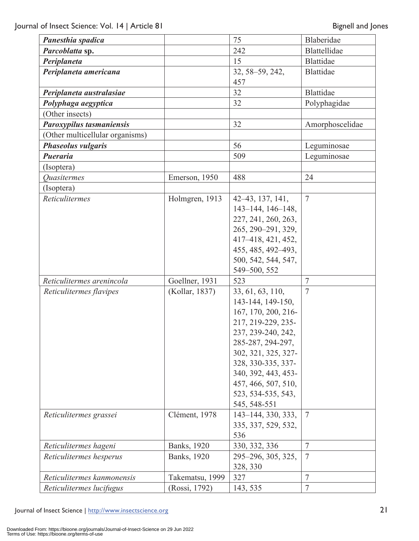| Panesthia spadica                |                                  | 75                     | Blaberidae       |
|----------------------------------|----------------------------------|------------------------|------------------|
| Parcoblatta sp.                  |                                  | 242                    | Blattellidae     |
| Periplaneta                      |                                  | 15                     | <b>Blattidae</b> |
| Periplaneta americana            |                                  | 32, 58–59, 242,<br>457 | <b>Blattidae</b> |
| Periplaneta australasiae         |                                  | 32                     | <b>Blattidae</b> |
| Polyphaga aegyptica              |                                  | 32                     | Polyphagidae     |
| (Other insects)                  |                                  |                        |                  |
| Paroxypilus tasmaniensis         |                                  | 32                     | Amorphoscelidae  |
| (Other multicellular organisms)  |                                  |                        |                  |
| Phaseolus vulgaris               |                                  | 56                     | Leguminosae      |
| <b>Pueraria</b>                  |                                  | 509                    | Leguminosae      |
| (Isoptera)                       |                                  |                        |                  |
| <i><u><b>Ouasitermes</b></u></i> | Emerson, 1950                    | 488                    | 24               |
| (Isoptera)                       |                                  |                        |                  |
| <b>Reticulitermes</b>            | Holmgren, 1913                   | 42–43, 137, 141,       | $\overline{7}$   |
|                                  |                                  | 143-144, 146-148,      |                  |
|                                  |                                  | 227, 241, 260, 263,    |                  |
|                                  |                                  | 265, 290-291, 329,     |                  |
|                                  |                                  | 417-418, 421, 452,     |                  |
|                                  |                                  | 455, 485, 492-493,     |                  |
|                                  |                                  | 500, 542, 544, 547,    |                  |
|                                  |                                  | 549-500, 552           |                  |
| Reticulitermes arenincola        | Goellner, 1931                   | 523                    | $\overline{7}$   |
| Reticulitermes flavipes          | (Kollar, 1837)                   | 33, 61, 63, 110,       | $\overline{7}$   |
|                                  |                                  | 143-144, 149-150,      |                  |
|                                  |                                  | 167, 170, 200, 216-    |                  |
|                                  |                                  | 217, 219-229, 235-     |                  |
|                                  |                                  | 237, 239-240, 242,     |                  |
|                                  |                                  | 285-287, 294-297,      |                  |
|                                  |                                  | 302, 321, 325, 327-    |                  |
|                                  |                                  | 328, 330-335, 337-     |                  |
|                                  |                                  | 340, 392, 443, 453-    |                  |
|                                  |                                  | 457, 466, 507, 510,    |                  |
|                                  |                                  | 523, 534-535, 543,     |                  |
|                                  |                                  | 545, 548-551           |                  |
| Reticulitermes grassei           | Clément, 1978                    | 143–144, 330, 333,     | $7\phantom{.0}$  |
|                                  |                                  | 335, 337, 529, 532,    |                  |
|                                  |                                  | 536                    | $\overline{7}$   |
| Reticulitermes hageni            | Banks, 1920                      | 330, 332, 336          | $7\phantom{.0}$  |
| Reticulitermes hesperus          | Banks, 1920                      | 295–296, 305, 325,     |                  |
| Reticulitermes kanmonensis       |                                  | 328, 330<br>327        | $\overline{7}$   |
| Reticulitermes lucifugus         | Takematsu, 1999<br>(Rossi, 1792) | 143, 535               | $\overline{7}$   |
|                                  |                                  |                        |                  |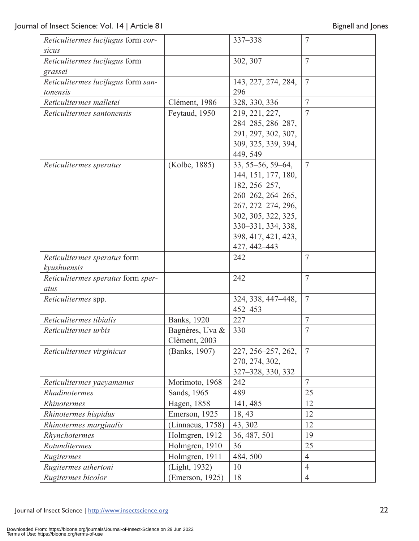| Reticulitermes lucifugus form cor- |                  | 337-338             | $\overline{7}$  |
|------------------------------------|------------------|---------------------|-----------------|
| sicus                              |                  |                     |                 |
| Reticulitermes lucifugus form      |                  | 302, 307            | $7\phantom{.0}$ |
| grassei                            |                  |                     |                 |
| Reticulitermes lucifugus form san- |                  | 143, 227, 274, 284, | $7\phantom{.0}$ |
| tonensis                           |                  | 296                 |                 |
| Reticulitermes malletei            | Clément, 1986    | 328, 330, 336       | $\overline{7}$  |
| Reticulitermes santonensis         | Feytaud, 1950    | 219, 221, 227,      | $\overline{7}$  |
|                                    |                  | 284-285, 286-287,   |                 |
|                                    |                  | 291, 297, 302, 307, |                 |
|                                    |                  | 309, 325, 339, 394, |                 |
|                                    |                  | 449, 549            |                 |
| Reticulitermes speratus            | (Kolbe, 1885)    | 33, 55–56, 59–64,   | $7\phantom{.0}$ |
|                                    |                  | 144, 151, 177, 180, |                 |
|                                    |                  | 182, 256-257,       |                 |
|                                    |                  | 260-262, 264-265,   |                 |
|                                    |                  | 267, 272-274, 296,  |                 |
|                                    |                  | 302, 305, 322, 325, |                 |
|                                    |                  | 330-331, 334, 338,  |                 |
|                                    |                  | 398, 417, 421, 423, |                 |
|                                    |                  | 427, 442-443        |                 |
| Reticulitermes speratus form       |                  | 242                 | 7               |
| kyushuensis                        |                  |                     |                 |
| Reticulitermes speratus form sper- |                  | 242                 | $\overline{7}$  |
| atus                               |                  |                     |                 |
| Reticulitermes spp.                |                  | 324, 338, 447–448,  | $7\phantom{.0}$ |
|                                    |                  | 452-453             |                 |
| Reticulitermes tibialis            | Banks, 1920      | 227                 | $\overline{7}$  |
| Reticulitermes urbis               | Bagnères, Uva &  | 330                 | 7               |
|                                    | Clèment, 2003    |                     |                 |
| Reticulitermes virginicus          | (Banks, 1907)    | 227, 256-257, 262,  | $7\phantom{.0}$ |
|                                    |                  | 270, 274, 302,      |                 |
|                                    |                  | 327-328, 330, 332   |                 |
| Reticulitermes yaeyamanus          | Morimoto, 1968   | 242                 | $\overline{7}$  |
| Rhadinotermes                      | Sands, 1965      | 489                 | 25              |
| Rhinotermes                        | Hagen, 1858      | 141, 485            | 12              |
| Rhinotermes hispidus               | Emerson, 1925    | 18, 43              | 12              |
| Rhinotermes marginalis             | (Linnaeus, 1758) | 43, 302             | 12              |
| Rhynchotermes                      | Holmgren, 1912   | 36, 487, 501        | 19              |
| Rotunditermes                      | Holmgren, 1910   | 36                  | 25              |
| Rugitermes                         | Holmgren, 1911   | 484, 500            | $\overline{4}$  |
| Rugitermes athertoni               | (Light, 1932)    | 10                  | $\overline{4}$  |
| Rugitermes bicolor                 | (Emerson, 1925)  | 18                  | $\overline{4}$  |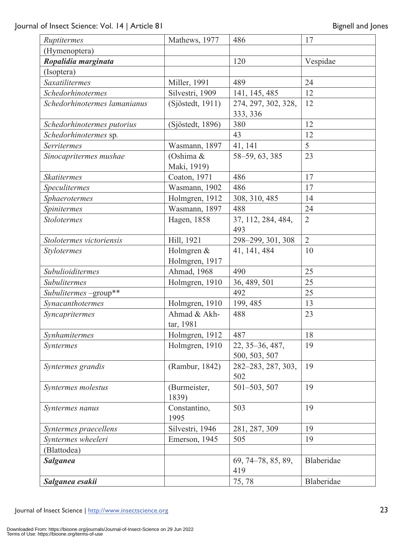| Ruptitermes                  | Mathews, 1977               | 486                              | 17             |
|------------------------------|-----------------------------|----------------------------------|----------------|
| (Hymenoptera)                |                             |                                  |                |
| Ropalidia marginata          |                             | 120                              | Vespidae       |
| (Isoptera)                   |                             |                                  |                |
| Saxatilitermes               | Miller, 1991                | 489                              | 24             |
| Schedorhinotermes            | Silvestri, 1909             | 141, 145, 485                    | 12             |
| Schedorhinotermes lamanianus | (Sjöstedt, 1911)            | 274, 297, 302, 328,              | 12             |
|                              |                             | 333, 336                         |                |
| Schedorhinotermes putorius   | (Sjöstedt, 1896)            | 380                              | 12             |
| Schedorhinotermes sp.        |                             | 43                               | 12             |
| <b>Serritermes</b>           | Wasmann, 1897               | 41, 141                          | 5              |
| Sinocapritermes mushae       | (Oshima &                   | 58-59, 63, 385                   | 23             |
|                              | Maki, 1919)                 |                                  |                |
| <b>Skatitermes</b>           | Coaton, 1971                | 486                              | 17             |
| Speculitermes                | Wasmann, 1902               | 486                              | 17             |
| Sphaerotermes                | Holmgren, 1912              | 308, 310, 485                    | 14             |
| Spinitermes                  | Wasmann, 1897               | 488                              | 24             |
| <b>Stolotermes</b>           | Hagen, 1858                 | 37, 112, 284, 484,               | $\overline{2}$ |
|                              |                             | 493                              |                |
| Stolotermes victoriensis     | Hill, 1921                  | 298-299, 301, 308                | $\overline{2}$ |
| Stylotermes                  | Holmgren &                  | 41, 141, 484                     | 10             |
|                              | Holmgren, 1917              |                                  |                |
| Subulioiditermes             | Ahmad, 1968                 | 490                              | 25             |
| Subulitermes                 | Holmgren, 1910              | 36, 489, 501                     | 25             |
| Subulitermes-group**         |                             | 492                              | 25             |
| Synacanthotermes             | Holmgren, 1910              | 199, 485                         | 13             |
| Syncapritermes               | Ahmad & Akh-                | 488<br>23                        |                |
|                              | tar, 1981<br>Holmgren, 1912 | 487                              |                |
| Synhamitermes                |                             |                                  | 18<br>19       |
| <i>Syntermes</i>             | Holmgren, 1910              | 22, 35–36, 487,<br>500, 503, 507 |                |
| Syntermes grandis            | (Rambur, 1842)              |                                  | 19             |
|                              |                             | 282-283, 287, 303,<br>502        |                |
| Syntermes molestus           | (Burmeister,                | 501-503, 507                     | 19             |
|                              | 1839)                       |                                  |                |
| <i>Syntermes nanus</i>       | Constantino,                | 503                              | 19             |
|                              | 1995                        |                                  |                |
| Syntermes praecellens        | Silvestri, 1946             | 281, 287, 309                    | 19             |
| Syntermes wheeleri           | Emerson, 1945               | 505                              | 19             |
| (Blattodea)                  |                             |                                  |                |
| <b>Salganea</b>              |                             | 69, 74-78, 85, 89,               | Blaberidae     |
|                              |                             | 419                              |                |
| Salganea esakii              |                             | 75,78                            | Blaberidae     |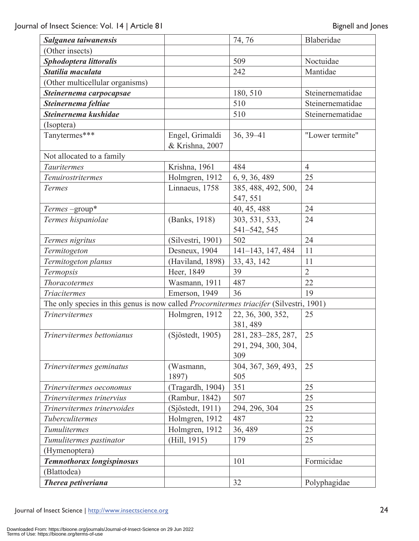| Salganea taiwanensis                                                                           |                                    | 74, 76                                           | Blaberidae       |
|------------------------------------------------------------------------------------------------|------------------------------------|--------------------------------------------------|------------------|
| (Other insects)                                                                                |                                    |                                                  |                  |
| Sphodoptera littoralis                                                                         |                                    | 509                                              |                  |
| Statilia maculata                                                                              |                                    | 242                                              | Mantidae         |
| (Other multicellular organisms)                                                                |                                    |                                                  |                  |
| Steinernema carpocapsae                                                                        |                                    | 180, 510                                         | Steinernematidae |
| Steinernema feltiae                                                                            |                                    | 510                                              | Steinernematidae |
| Steinernema kushidae                                                                           |                                    | 510                                              | Steinernematidae |
| (Isoptera)                                                                                     |                                    |                                                  |                  |
| Tanytermes***                                                                                  | Engel, Grimaldi<br>& Krishna, 2007 | $36, 39 - 41$                                    | "Lower termite"  |
| Not allocated to a family                                                                      |                                    |                                                  |                  |
| Tauritermes                                                                                    | Krishna, 1961                      | 484                                              | $\overline{4}$   |
| Tenuirostritermes                                                                              | Holmgren, 1912                     | 6, 9, 36, 489                                    | 25               |
| Termes                                                                                         | Linnaeus, 1758                     | 385, 488, 492, 500,<br>547, 551                  | 24               |
| $Terms$ -group*                                                                                |                                    | 40, 45, 488                                      | 24               |
| Termes hispaniolae                                                                             | (Banks, 1918)                      | 303, 531, 533,<br>541-542, 545                   | 24               |
| Termes nigritus                                                                                | (Silvestri, 1901)                  | 502                                              | 24               |
| Termitogeton                                                                                   | Desneux, 1904                      | 141-143, 147, 484                                | 11               |
| Termitogeton planus                                                                            | (Haviland, 1898)                   | 33, 43, 142                                      | 11               |
| Termopsis                                                                                      | Heer, 1849                         | 39                                               | $\overline{2}$   |
| <b>Thoracotermes</b>                                                                           | Wasmann, 1911                      | 487                                              | 22               |
| <b>Triacitermes</b>                                                                            | Emerson, 1949                      | 36                                               | 19               |
| The only species in this genus is now called <i>Procornitermes triacifer</i> (Silvestri, 1901) |                                    |                                                  |                  |
| Trinervitermes                                                                                 | Holmgren, 1912                     | 22, 36, 300, 352,<br>381, 489                    | 25               |
| Trinervitermes bettonianus                                                                     | (Sjöstedt, 1905)                   | 281, 283-285, 287,<br>291, 294, 300, 304,<br>309 | 25               |
| Trinervitermes geminatus                                                                       | (Wasmann,<br>1897)                 | 304, 367, 369, 493,<br>505                       | 25               |
| Trinervitermes oeconomus                                                                       | (Tragardh, 1904)                   | 351                                              | 25               |
| Trinervitermes trinervius                                                                      | (Rambur, 1842)                     | 507                                              | 25               |
| Trinervitermes trinervoides                                                                    | (Sjöstedt, 1911)                   | 294, 296, 304                                    | 25               |
| Tuberculitermes                                                                                | Holmgren, 1912                     | 487                                              | 22               |
| Tumulitermes                                                                                   | Holmgren, 1912                     | 36, 489                                          | 25               |
| Tumulitermes pastinator                                                                        | (Hill, 1915)                       | 179                                              | 25               |
| (Hymenoptera)                                                                                  |                                    |                                                  |                  |
| Temnothorax longispinosus                                                                      |                                    | 101                                              | Formicidae       |
| (Blattodea)                                                                                    |                                    |                                                  |                  |
| Therea petiveriana                                                                             |                                    | 32                                               | Polyphagidae     |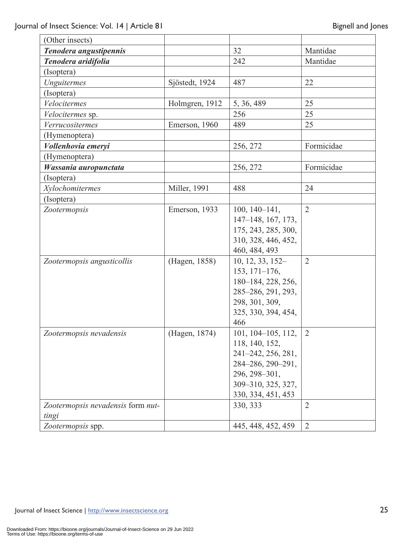| (Other insects)                   |                |                        |                |
|-----------------------------------|----------------|------------------------|----------------|
| Tenodera angustipennis            |                | 32                     | Mantidae       |
| Tenodera aridifolia               |                | 242                    | Mantidae       |
| (Isoptera)                        |                |                        |                |
| Unguitermes                       | Sjöstedt, 1924 | 487                    | 22             |
| (Isoptera)                        |                |                        |                |
| Velocitermes                      | Holmgren, 1912 | 5, 36, 489             | 25             |
| Velocitermes sp.                  |                | 256                    | 25             |
| Verrucositermes                   | Emerson, 1960  | 489                    | 25             |
| (Hymenoptera)                     |                |                        |                |
| Vollenhovia emeryi                |                | 256, 272               | Formicidae     |
| (Hymenoptera)                     |                |                        |                |
| Wassania auropunctata             |                | 256, 272               | Formicidae     |
| (Isoptera)                        |                |                        |                |
| Xylochomitermes                   | Miller, 1991   | 488                    | 24             |
| (Isoptera)                        |                |                        |                |
| Zootermopsis                      | Emerson, 1933  | $100, 140 - 141,$      | $\overline{2}$ |
|                                   |                | 147-148, 167, 173,     |                |
|                                   |                | 175, 243, 285, 300,    |                |
|                                   |                | 310, 328, 446, 452,    |                |
|                                   |                | 460, 484, 493          |                |
| Zootermopsis angusticollis        | (Hagen, 1858)  | 10, 12, 33, 152-       | $\overline{2}$ |
|                                   |                | $153, 171 - 176,$      |                |
|                                   |                | 180-184, 228, 256,     |                |
|                                   |                | 285-286, 291, 293,     |                |
|                                   |                | 298, 301, 309,         |                |
|                                   |                | 325, 330, 394, 454,    |                |
|                                   |                | 466                    |                |
| Zootermopsis nevadensis           | (Hagen, 1874)  | $101, 104 - 105, 112,$ | 2              |
|                                   |                | 118, 140, 152,         |                |
|                                   |                | 241-242, 256, 281,     |                |
|                                   |                | 284-286, 290-291,      |                |
|                                   |                | 296, 298-301,          |                |
|                                   |                | 309-310, 325, 327,     |                |
|                                   |                | 330, 334, 451, 453     |                |
| Zootermopsis nevadensis form nut- |                | 330, 333               | $\overline{2}$ |
| tingi                             |                |                        |                |
| Zootermopsis spp.                 |                | 445, 448, 452, 459     | $\overline{2}$ |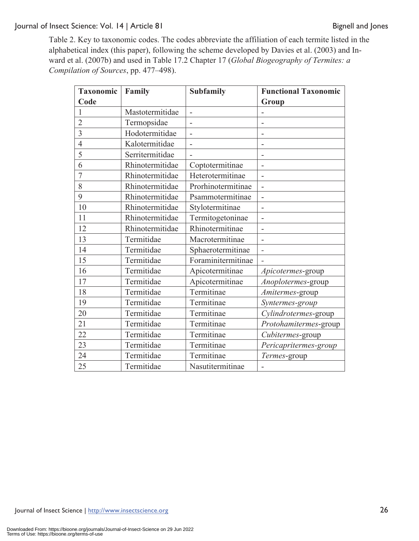Table 2. Key to taxonomic codes. The codes abbreviate the affiliation of each termite listed in the alphabetical index (this paper), following the scheme developed by Davies et al. (2003) and Inward et al. (2007b) and used in Table 17.2 Chapter 17 (*Global Biogeography of Termites: a Compilation of Sources*, pp. 477–498).

| <b>Taxonomic</b> | Family          | <b>Subfamily</b>         | <b>Functional Taxonomic</b> |
|------------------|-----------------|--------------------------|-----------------------------|
| Code             |                 |                          | Group                       |
| 1                | Mastotermitidae | $\overline{\phantom{m}}$ |                             |
| $\overline{2}$   | Termopsidae     | $\overline{a}$           |                             |
| $\overline{3}$   | Hodotermitidae  |                          |                             |
| $\overline{4}$   | Kalotermitidae  | $\overline{a}$           |                             |
| 5                | Serritermitidae |                          | $\overline{\phantom{0}}$    |
| 6                | Rhinotermitidae | Coptotermitinae          |                             |
| 7                | Rhinotermitidae | Heterotermitinae         | $\overline{a}$              |
| 8                | Rhinotermitidae | Prorhinotermitinae       | $\overline{\phantom{m}}$    |
| 9                | Rhinotermitidae | Psammotermitinae         | $\overline{\phantom{a}}$    |
| 10               | Rhinotermitidae | Stylotermitinae          | L,                          |
| 11               | Rhinotermitidae | Termitogetoninae         |                             |
| 12               | Rhinotermitidae | Rhinotermitinae          |                             |
| 13               | Termitidae      | Macrotermitinae          | $\overline{\phantom{a}}$    |
| 14               | Termitidae      | Sphaerotermitinae        | $\overline{\phantom{0}}$    |
| 15               | Termitidae      | Foraminitermitinae       |                             |
| 16               | Termitidae      | Apicotermitinae          | Apicotermes-group           |
| 17               | Termitidae      | Apicotermitinae          | Anoplotermes-group          |
| 18               | Termitidae      | Termitinae               | Amitermes-group             |
| 19               | Termitidae      | Termitinae               | Syntermes-group             |
| 20               | Termitidae      | Termitinae               | Cylindrotermes-group        |
| 21               | Termitidae      | Termitinae               | Protohamitermes-group       |
| 22               | Termitidae      | Termitinae               | Cubitermes-group            |
| 23               | Termitidae      | Termitinae               | Pericapritermes-group       |
| 24               | Termitidae      | Termitinae               | Termes-group                |
| 25               | Termitidae      | Nasutitermitinae         |                             |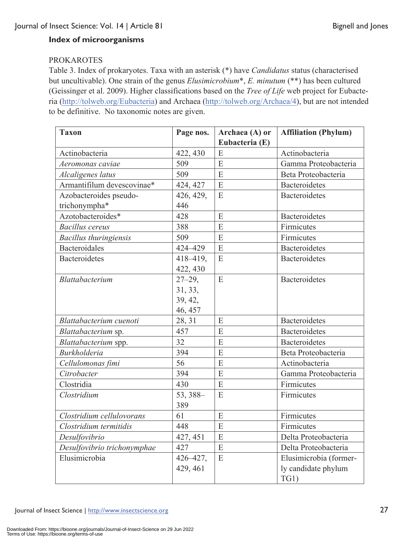# **Index of microorganisms**

## PROKAROTES

Table 3. Index of prokaryotes. Taxa with an asterisk (\*) have *Candidatus* status (characterised but uncultivable). One strain of the genus *Elusimicrobium*\*, *E. minutum* (\*\*) has been cultured (Geissinger et al. 2009). Higher classifications based on the *Tree of Life* web project for Eubacteria (http://tolweb.org/Eubacteria) and Archaea (http://tolweb.org/Archaea/4), but are not intended to be definitive. No taxonomic notes are given.

| <b>Taxon</b>                  | Page nos.   | Archaea (A) or | <b>Affiliation (Phylum)</b> |
|-------------------------------|-------------|----------------|-----------------------------|
|                               |             | Eubacteria (E) |                             |
| Actinobacteria                | 422, 430    | E              | Actinobacteria              |
| Aeromonas caviae              | 509         | E              | Gamma Proteobacteria        |
| Alcaligenes latus             | 509         | E              | Beta Proteobacteria         |
| Armantifilum devescovinae*    | 424, 427    | E              | <b>Bacteroidetes</b>        |
| Azobacteroides pseudo-        | 426, 429,   | E              | <b>Bacteroidetes</b>        |
| trichonympha*                 | 446         |                |                             |
| Azotobacteroides*             | 428         | E              | Bacteroidetes               |
| <b>Bacillus cereus</b>        | 388         | $\overline{E}$ | Firmicutes                  |
| <b>Bacillus thuringiensis</b> | 509         | E              | Firmicutes                  |
| <b>Bacteroidales</b>          | 424-429     | E              | <b>Bacteroidetes</b>        |
| <b>Bacteroidetes</b>          | 418-419,    | E              | <b>Bacteroidetes</b>        |
|                               | 422, 430    |                |                             |
| Blattabacterium               | $27 - 29$ , | E              | <b>Bacteroidetes</b>        |
|                               | 31, 33,     |                |                             |
|                               | 39, 42,     |                |                             |
|                               | 46, 457     |                |                             |
| Blattabacterium cuenoti       | 28, 31      | E              | <b>Bacteroidetes</b>        |
| Blattabacterium sp.           | 457         | $\overline{E}$ | <b>Bacteroidetes</b>        |
| Blattabacterium spp.          | 32          | E              | <b>Bacteroidetes</b>        |
| <b>Burkholderia</b>           | 394         | E              | Beta Proteobacteria         |
| Cellulomonas fimi             | 56          | $\overline{E}$ | Actinobacteria              |
| Citrobacter                   | 394         | E              | Gamma Proteobacteria        |
| Clostridia                    | 430         | E              | Firmicutes                  |
| Clostridium                   | 53, 388-    | E              | Firmicutes                  |
|                               | 389         |                |                             |
| Clostridium cellulovorans     | 61          | E              | Firmicutes                  |
| Clostridium termitidis        | 448         | E              | Firmicutes                  |
| Desulfovibrio                 | 427, 451    | E              | Delta Proteobacteria        |
| Desulfovibrio trichonymphae   | 427         | ${\bf E}$      | Delta Proteobacteria        |
| Elusimicrobia                 | 426-427,    | E              | Elusimicrobia (former-      |
|                               | 429, 461    |                | ly candidate phylum         |
|                               |             |                | TG1)                        |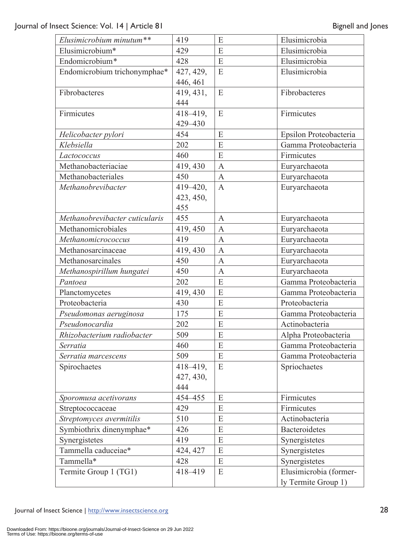| Elusimicrobium minutum**       | 419          | E              | Elusimicrobia          |
|--------------------------------|--------------|----------------|------------------------|
| Elusimicrobium*                | 429          | E              | Elusimicrobia          |
| Endomicrobium*                 | 428          | E              | Elusimicrobia          |
| Endomicrobium trichonymphae*   | 427, 429,    | E              | Elusimicrobia          |
|                                | 446, 461     |                |                        |
| Fibrobacteres                  | 419, 431,    | E              | Fibrobacteres          |
|                                | 444          |                |                        |
| Firmicutes                     | 418-419,     | E              | Firmicutes             |
|                                | 429-430      |                |                        |
| Helicobacter pylori            | 454          | E              | Epsilon Proteobacteria |
| Klebsiella                     | 202          | E              | Gamma Proteobacteria   |
| Lactococcus                    | 460          | E              | Firmicutes             |
| Methanobacteriaciae            | 419, 430     | $\mathbf{A}$   | Euryarchaeota          |
| Methanobacteriales             | 450          | $\mathbf{A}$   | Euryarchaeota          |
| Methanobrevibacter             | $419 - 420,$ | $\mathbf{A}$   | Euryarchaeota          |
|                                | 423, 450,    |                |                        |
|                                | 455          |                |                        |
| Methanobrevibacter cuticularis | 455          | $\mathbf{A}$   | Euryarchaeota          |
| Methanomicrobiales             | 419, 450     | $\mathbf{A}$   | Euryarchaeota          |
| Methanomicrococcus             | 419          | $\mathbf{A}$   | Euryarchaeota          |
| Methanosarcinaceae             | 419, 430     | $\mathbf{A}$   | Euryarchaeota          |
| Methanosarcinales              | 450          | $\mathbf{A}$   | Euryarchaeota          |
| Methanospirillum hungatei      | 450          | $\overline{A}$ | Euryarchaeota          |
| Pantoea                        | 202          | E              | Gamma Proteobacteria   |
| Planctomycetes                 | 419, 430     | E              | Gamma Proteobacteria   |
| Proteobacteria                 | 430          | E              | Proteobacteria         |
| Pseudomonas aeruginosa         | 175          | E              | Gamma Proteobacteria   |
| Pseudonocardia                 | 202          | E              | Actinobacteria         |
| Rhizobacterium radiobacter     | 509          | E              | Alpha Proteobacteria   |
| Serratia                       | 460          | E              | Gamma Proteobacteria   |
| Serratia marcescens            | 509          | E              | Gamma Proteobacteria   |
| Spirochaetes                   | 418-419,     | ${\bf E}$      | Spriochaetes           |
|                                | 427, 430,    |                |                        |
|                                | 444          |                |                        |
| Sporomusa acetivorans          | 454-455      | E              | Firmicutes             |
| Streptococcaceae               | 429          | E              | Firmicutes             |
| Streptomyces avermitilis       | 510          | E              | Actinobacteria         |
| Symbiothrix dinenymphae*       | 426          | E              | Bacteroidetes          |
| Synergistetes                  | 419          | E              | Synergistetes          |
| Tammella caduceiae*            | 424, 427     | E              | Synergistetes          |
| Tammella*                      | 428          | E              | Synergistetes          |
| Termite Group 1 (TG1)          | 418-419      | E              | Elusimicrobia (former- |
|                                |              |                | ly Termite Group 1)    |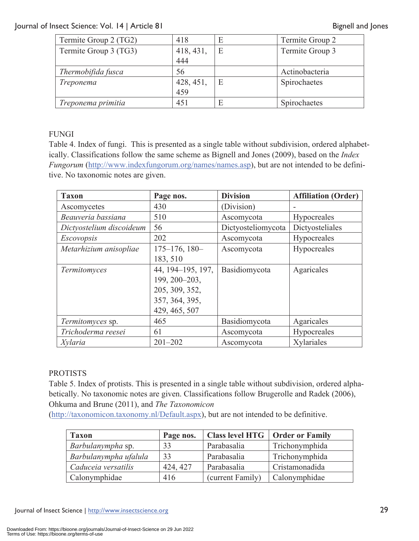| Termite Group 2 (TG2) | 418              | E | Termite Group 2 |
|-----------------------|------------------|---|-----------------|
| Termite Group 3 (TG3) | 418, 431,        | E | Termite Group 3 |
|                       | 444              |   |                 |
| Thermobifida fusca    | 56               |   | Actinobacteria  |
| Treponema             | 428, 451,<br>459 | E | Spirochaetes    |
|                       |                  |   |                 |
| Treponema primitia    | 451              | E | Spirochaetes    |

# FUNGI

Table 4. Index of fungi. This is presented as a single table without subdivision, ordered alphabetically. Classifications follow the same scheme as Bignell and Jones (2009), based on the *Index Fungorum* (http://www.indexfungorum.org/names/names.asp), but are not intended to be definitive. No taxonomic notes are given.

| <b>Taxon</b>             | Page nos.             | <b>Division</b>    | <b>Affiliation (Order)</b> |
|--------------------------|-----------------------|--------------------|----------------------------|
| Ascomycetes              | 430                   | (Division)         |                            |
| Beauveria bassiana       | 510                   | Ascomycota         | Hypocreales                |
| Dictyostelium discoideum | 56                    | Dictyosteliomycota | Dictyosteliales            |
| <i>Escovopsis</i>        | 202                   | Ascomycota         | Hypocreales                |
| Metarhizium anisopliae   | $175 - 176$ , $180 -$ | Ascomycota         | Hypocreales                |
|                          | 183, 510              |                    |                            |
| Termitomyces             | 44, 194-195, 197,     | Basidiomycota      | Agaricales                 |
|                          | 199, 200-203,         |                    |                            |
|                          | 205, 309, 352,        |                    |                            |
|                          | 357, 364, 395,        |                    |                            |
|                          | 429, 465, 507         |                    |                            |
| Termitomyces sp.         | 465                   | Basidiomycota      | Agaricales                 |
| Trichoderma reesei       | 61                    | Ascomycota         | Hypocreales                |
| Xylaria                  | $201 - 202$           | Ascomycota         | Xylariales                 |

# PROTISTS

Table 5. Index of protists. This is presented in a single table without subdivision, ordered alphabetically. No taxonomic notes are given. Classifications follow Brugerolle and Radek (2006), Ohkuma and Brune (2011), and *The Taxonomicon*

(http://taxonomicon.taxonomy.nl/Default.aspx), but are not intended to be definitive.

| <b>Taxon</b>          | Page nos. | Class level HTG   Order or Family |                |
|-----------------------|-----------|-----------------------------------|----------------|
| Barbulanympha sp.     | 33        | Parabasalia                       | Trichonymphida |
| Barbulanympha ufalula | 33        | Parabasalia                       | Trichonymphida |
| Caduceia versatilis   | 424, 427  | Parabasalia                       | Cristamonadida |
| Calonymphidae         | 416       | (current Family)                  | Calonymphidae  |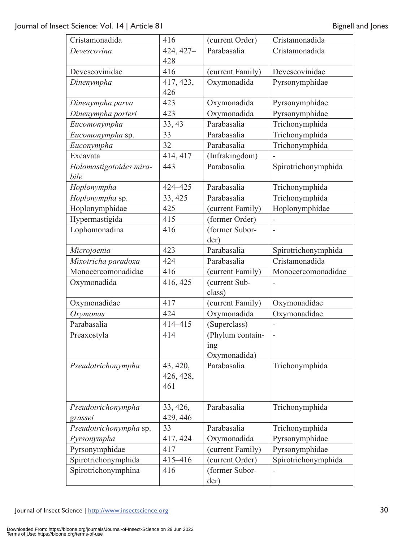| Cristamonadida          | 416       | (current Order)  | Cristamonadida      |
|-------------------------|-----------|------------------|---------------------|
| Devescovina             | 424, 427- | Parabasalia      | Cristamonadida      |
|                         | 428       |                  |                     |
| Devescovinidae          | 416       | (current Family) | Devescovinidae      |
| Dinenympha              | 417, 423, | Oxymonadida      | Pyrsonymphidae      |
|                         | 426       |                  |                     |
| Dinenympha parva        | 423       | Oxymonadida      | Pyrsonymphidae      |
| Dinenympha porteri      | 423       | Oxymonadida      | Pyrsonymphidae      |
| Eucomonympha            | 33, 43    | Parabasalia      | Trichonymphida      |
| Eucomonympha sp.        | 33        | Parabasalia      | Trichonymphida      |
| Euconympha              | 32        | Parabasalia      | Trichonymphida      |
| Excavata                | 414, 417  | (Infrakingdom)   |                     |
| Holomastigotoides mira- | 443       | Parabasalia      | Spirotrichonymphida |
| bile                    |           |                  |                     |
| Hoplonympha             | 424-425   | Parabasalia      | Trichonymphida      |
| Hoplonympha sp.         | 33, 425   | Parabasalia      | Trichonymphida      |
| Hoplonymphidae          | 425       | (current Family) | Hoplonymphidae      |
| Hypermastigida          | 415       | (former Order)   |                     |
| Lophomonadina           | 416       | (former Subor-   | $\overline{a}$      |
|                         |           | der)             |                     |
| Microjoenia             | 423       | Parabasalia      | Spirotrichonymphida |
| Mixotricha paradoxa     | 424       | Parabasalia      | Cristamonadida      |
| Monocercomonadidae      | 416       | (current Family) | Monocercomonadidae  |
| Oxymonadida             | 416, 425  | (current Sub-    |                     |
|                         |           | class)           |                     |
| Oxymonadidae            | 417       | (current Family) | Oxymonadidae        |
| Oxymonas                | 424       | Oxymonadida      | Oxymonadidae        |
| Parabasalia             | 414-415   | (Superclass)     |                     |
| Preaxostyla             | 414       | (Phylum contain- | $\overline{a}$      |
|                         |           | <sub>1</sub> ng  |                     |
|                         |           | Oxymonadida)     |                     |
| Pseudotrichonympha      | 43, 420,  | Parabasalia      | Trichonymphida      |
|                         | 426, 428, |                  |                     |
|                         | 461       |                  |                     |
|                         |           |                  |                     |
| Pseudotrichonympha      | 33, 426,  | Parabasalia      | Trichonymphida      |
| grassei                 | 429, 446  |                  |                     |
| Pseudotrichonympha sp.  | 33        | Parabasalia      | Trichonymphida      |
| Pyrsonympha             | 417, 424  | Oxymonadida      | Pyrsonymphidae      |
| Pyrsonymphidae          | 417       | (current Family) | Pyrsonymphidae      |
| Spirotrichonymphida     | 415-416   | (current Order)  | Spirotrichonymphida |
| Spirotrichonymphina     | 416       | (former Subor-   |                     |
|                         |           | der)             |                     |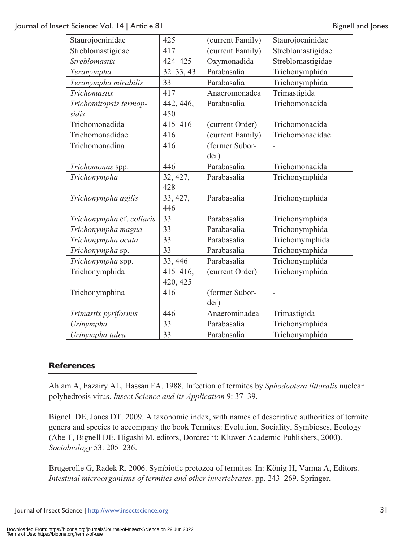| Staurojoeninidae          | 425           | (current Family) | Staurojoeninidae  |
|---------------------------|---------------|------------------|-------------------|
| Streblomastigidae         | 417           | (current Family) | Streblomastigidae |
| Streblomastix             | 424-425       | Oxymonadida      | Streblomastigidae |
| Teranympha                | $32 - 33, 43$ | Parabasalia      | Trichonymphida    |
| Teranympha mirabilis      | 33            | Parabasalia      | Trichonymphida    |
| Trichomastix              | 417           | Anaeromonadea    | Trimastigida      |
| Trichomitopsis termop-    | 442, 446,     | Parabasalia      | Trichomonadida    |
| sidis                     | 450           |                  |                   |
| Trichomonadida            | 415-416       | (current Order)  | Trichomonadida    |
| Trichomonadidae           | 416           | (current Family) | Trichomonadidae   |
| Trichomonadina            | 416           | (former Subor-   |                   |
|                           |               | der)             |                   |
| Trichomonas spp.          | 446           | Parabasalia      | Trichomonadida    |
| Trichonympha              | 32, 427,      | Parabasalia      | Trichonymphida    |
|                           | 428           |                  |                   |
| Trichonympha agilis       | 33, 427,      | Parabasalia      | Trichonymphida    |
|                           | 446           |                  |                   |
| Trichonympha cf. collaris | 33            | Parabasalia      | Trichonymphida    |
| Trichonympha magna        | 33            | Parabasalia      | Trichonymphida    |
| Trichonympha ocuta        | 33            | Parabasalia      | Trichomymphida    |
| Trichonympha sp.          | 33            | Parabasalia      | Trichonymphida    |
| Trichonympha spp.         | 33, 446       | Parabasalia      | Trichonymphida    |
| Trichonymphida            | $415 - 416,$  | (current Order)  | Trichonymphida    |
|                           | 420, 425      |                  |                   |
| Trichonymphina            | 416           | (former Subor-   | $\overline{a}$    |
|                           |               | der)             |                   |
| Trimastix pyriformis      | 446           | Anaerominadea    | Trimastigida      |
| Urinympha                 | 33            | Parabasalia      | Trichonymphida    |
| Urinympha talea           | 33            | Parabasalia      | Trichonymphida    |

#### **References**

Ahlam A, Fazairy AL, Hassan FA. 1988. Infection of termites by *Sphodoptera littoralis* nuclear polyhedrosis virus. *Insect Science and its Application* 9: 37–39.

Bignell DE, Jones DT. 2009. A taxonomic index, with names of descriptive authorities of termite genera and species to accompany the book Termites: Evolution, Sociality, Symbioses, Ecology (Abe T, Bignell DE, Higashi M, editors, Dordrecht: Kluwer Academic Publishers, 2000). *Sociobiology* 53: 205–236.

Brugerolle G, Radek R. 2006. Symbiotic protozoa of termites. In: König H, Varma A, Editors. *Intestinal microorganisms of termites and other invertebrates*. pp. 243–269. Springer.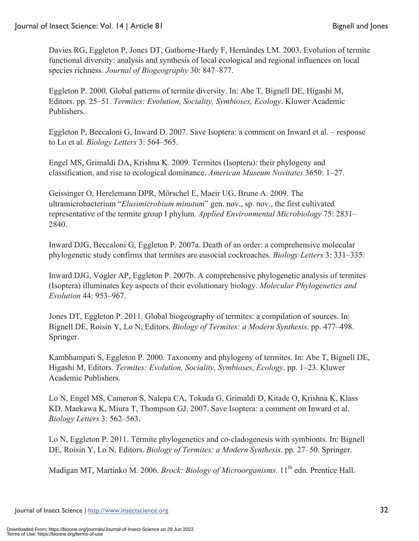Davies RG, Eggleton P, Jones DT, Gathorne-Hardy F, Hernándes LM. 2003. Evolution of termite functional diversity: analysis and synthesis of local ecological and regional influences on local species richness. *Journal of Biogeography* 30: 847–877.

Eggleton P. 2000. Global patterns of termite diversity. In: Abe T, Bignell DE, Higashi M, Editors. pp. 25–51. *Termites: Evolution, Sociality, Symbioses, Ecology*. Kluwer Academic Publishers.

Eggleton P, Beccaloni G, Inward D. 2007. Save Isoptera: a comment on Inward et al. – response to Lo et al. *Biology Letters* 3: 564–565.

Engel MS, Grimaldi DA, Krishna K. 2009. Termites (Isoptera): their phylogeny and classification, and rise to ecological dominance. *American Museum Novitates* 3650: 1–27.

Geissinger O, Herelemann DPR, Mörschel E, Maeir UG, Brune A. 2009. The ultramicrobacterium "*Elusimicrobium minutum*" gen. nov., sp. nov., the first cultivated representative of the termite group I phylum. *Applied Environmental Microbiology* 75: 2831– 2840.

Inward DJG, Beccaloni G, Eggleton P. 2007a. Death of an order: a comprehensive molecular phylogenetic study confirms that termites are eusocial cockroaches. *Biology Letters* 3: 331–335.

Inward DJG, Vogler AP, Eggleton P. 2007b. A comprehensive phylogenetic analysis of termites (Isoptera) illuminates key aspects of their evolutionary biology. *Molecular Phylogenetics and Evolution* 44: 953–967.

Jones DT, Eggleton P. 2011. Global biogeography of termites: a compilation of sources. In: Bignell DE, Roisin Y, Lo N, Editors. *Biology of Termites: a Modern Synthesis*. pp. 477–498. Springer.

Kambhampati S, Eggleton P. 2000. Taxonomy and phylogeny of termites. In: Abe T, Bignell DE, Higashi M, Editors. *Termites: Evolution, Sociality, Symbioses, Ecology*. pp. 1–23. Kluwer Academic Publishers.

Lo N, Engel MS, Cameron S, Nalepa CA, Tokuda G, Grimaldi D, Kitade O, Krishna K, Klass KD, Maekawa K, Miura T, Thompson GJ. 2007. Save Isoptera: a comment on Inward et al. *Biology Letters* 3: 562–563.

Lo N, Eggleton P. 2011. Termite phylogenetics and co-cladogenesis with symbionts. In: Bignell DE, Roisin Y, Lo N, Editors. *Biology of Termites: a Modern Synthesis*. pp. 27–50. Springer.

Madigan MT, Martinko M. 2006. *Brock: Biology of Microorganisms*. 11<sup>th</sup> edn. Prentice Hall.